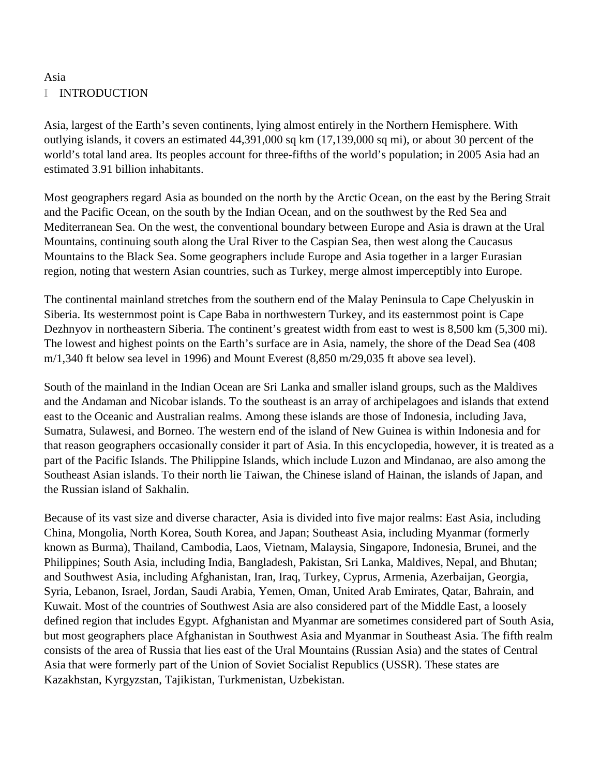# I INTRODUCTION

Asia, largest of the Earth's seven continents, lying almost entirely in the Northern Hemisphere. With outlying islands, it covers an estimated 44,391,000 sq km (17,139,000 sq mi), or about 30 percent of the world's total land area. Its peoples account for three-fifths of the world's population; in 2005 Asia had an estimated 3.91 billion inhabitants.

Most geographers regard Asia as bounded on the north by the Arctic Ocean, on the east by the Bering Strait and the Pacific Ocean, on the south by the Indian Ocean, and on the southwest by the Red Sea and Mediterranean Sea. On the west, the conventional boundary between Europe and Asia is drawn at the Ural Mountains, continuing south along the Ural River to the Caspian Sea, then west along the Caucasus Mountains to the Black Sea. Some geographers include Europe and Asia together in a larger Eurasian region, noting that western Asian countries, such as Turkey, merge almost imperceptibly into Europe.

The continental mainland stretches from the southern end of the Malay Peninsula to Cape Chelyuskin in Siberia. Its westernmost point is Cape Baba in northwestern Turkey, and its easternmost point is Cape Dezhnyov in northeastern Siberia. The continent's greatest width from east to west is 8,500 km (5,300 mi). The lowest and highest points on the Earth's surface are in Asia, namely, the shore of the Dead Sea (408 m/1,340 ft below sea level in 1996) and Mount Everest (8,850 m/29,035 ft above sea level).

South of the mainland in the Indian Ocean are Sri Lanka and smaller island groups, such as the Maldives and the Andaman and Nicobar islands. To the southeast is an array of archipelagoes and islands that extend east to the Oceanic and Australian realms. Among these islands are those of Indonesia, including Java, Sumatra, Sulawesi, and Borneo. The western end of the island of New Guinea is within Indonesia and for that reason geographers occasionally consider it part of Asia. In this encyclopedia, however, it is treated as a part of the Pacific Islands. The Philippine Islands, which include Luzon and Mindanao, are also among the Southeast Asian islands. To their north lie Taiwan, the Chinese island of Hainan, the islands of Japan, and the Russian island of Sakhalin.

Because of its vast size and diverse character, Asia is divided into five major realms: East Asia, including China, Mongolia, North Korea, South Korea, and Japan; Southeast Asia, including Myanmar (formerly known as Burma), Thailand, Cambodia, Laos, Vietnam, Malaysia, Singapore, Indonesia, Brunei, and the Philippines; South Asia, including India, Bangladesh, Pakistan, Sri Lanka, Maldives, Nepal, and Bhutan; and Southwest Asia, including Afghanistan, Iran, Iraq, Turkey, Cyprus, Armenia, Azerbaijan, Georgia, Syria, Lebanon, Israel, Jordan, Saudi Arabia, Yemen, Oman, United Arab Emirates, Qatar, Bahrain, and Kuwait. Most of the countries of Southwest Asia are also considered part of the Middle East, a loosely defined region that includes Egypt. Afghanistan and Myanmar are sometimes considered part of South Asia, but most geographers place Afghanistan in Southwest Asia and Myanmar in Southeast Asia. The fifth realm consists of the area of Russia that lies east of the Ural Mountains (Russian Asia) and the states of Central Asia that were formerly part of the Union of Soviet Socialist Republics (USSR). These states are Kazakhstan, Kyrgyzstan, Tajikistan, Turkmenistan, Uzbekistan.

Asia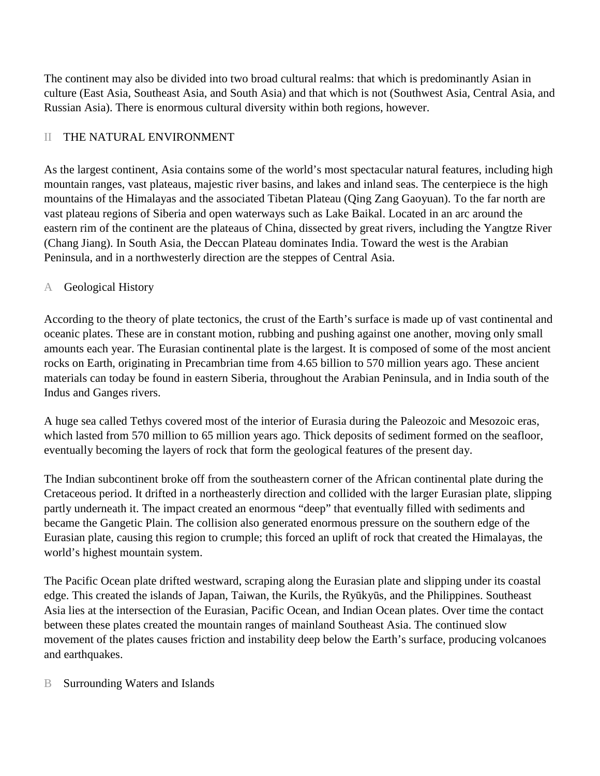The continent may also be divided into two broad cultural realms: that which is predominantly Asian in culture (East Asia, Southeast Asia, and South Asia) and that which is not (Southwest Asia, Central Asia, and Russian Asia). There is enormous cultural diversity within both regions, however.

# II THE NATURAL ENVIRONMENT

As the largest continent, Asia contains some of the world's most spectacular natural features, including high mountain ranges, vast plateaus, majestic river basins, and lakes and inland seas. The centerpiece is the high mountains of the Himalayas and the associated Tibetan Plateau (Qing Zang Gaoyuan). To the far north are vast plateau regions of Siberia and open waterways such as Lake Baikal. Located in an arc around the eastern rim of the continent are the plateaus of China, dissected by great rivers, including the Yangtze River (Chang Jiang). In South Asia, the Deccan Plateau dominates India. Toward the west is the Arabian Peninsula, and in a northwesterly direction are the steppes of Central Asia.

## A Geological History

According to the theory of plate tectonics, the crust of the Earth's surface is made up of vast continental and oceanic plates. These are in constant motion, rubbing and pushing against one another, moving only small amounts each year. The Eurasian continental plate is the largest. It is composed of some of the most ancient rocks on Earth, originating in Precambrian time from 4.65 billion to 570 million years ago. These ancient materials can today be found in eastern Siberia, throughout the Arabian Peninsula, and in India south of the Indus and Ganges rivers.

A huge sea called Tethys covered most of the interior of Eurasia during the Paleozoic and Mesozoic eras, which lasted from 570 million to 65 million years ago. Thick deposits of sediment formed on the seafloor, eventually becoming the layers of rock that form the geological features of the present day.

The Indian subcontinent broke off from the southeastern corner of the African continental plate during the Cretaceous period. It drifted in a northeasterly direction and collided with the larger Eurasian plate, slipping partly underneath it. The impact created an enormous "deep" that eventually filled with sediments and became the Gangetic Plain. The collision also generated enormous pressure on the southern edge of the Eurasian plate, causing this region to crumple; this forced an uplift of rock that created the Himalayas, the world's highest mountain system.

The Pacific Ocean plate drifted westward, scraping along the Eurasian plate and slipping under its coastal edge. This created the islands of Japan, Taiwan, the Kurils, the Ryūkyūs, and the Philippines. Southeast Asia lies at the intersection of the Eurasian, Pacific Ocean, and Indian Ocean plates. Over time the contact between these plates created the mountain ranges of mainland Southeast Asia. The continued slow movement of the plates causes friction and instability deep below the Earth's surface, producing volcanoes and earthquakes.

## B Surrounding Waters and Islands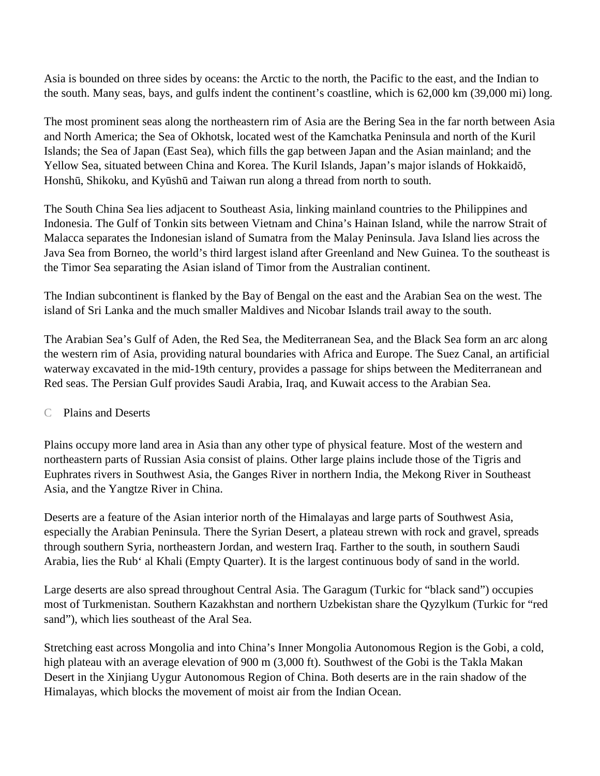Asia is bounded on three sides by oceans: the Arctic to the north, the Pacific to the east, and the Indian to the south. Many seas, bays, and gulfs indent the continent's coastline, which is 62,000 km (39,000 mi) long.

The most prominent seas along the northeastern rim of Asia are the Bering Sea in the far north between Asia and North America; the Sea of Okhotsk, located west of the Kamchatka Peninsula and north of the Kuril Islands; the Sea of Japan (East Sea), which fills the gap between Japan and the Asian mainland; and the Yellow Sea, situated between China and Korea. The Kuril Islands, Japan's major islands of Hokkaidō, Honshū, Shikoku, and Kyūshū and Taiwan run along a thread from north to south.

The South China Sea lies adjacent to Southeast Asia, linking mainland countries to the Philippines and Indonesia. The Gulf of Tonkin sits between Vietnam and China's Hainan Island, while the narrow Strait of Malacca separates the Indonesian island of Sumatra from the Malay Peninsula. Java Island lies across the Java Sea from Borneo, the world's third largest island after Greenland and New Guinea. To the southeast is the Timor Sea separating the Asian island of Timor from the Australian continent.

The Indian subcontinent is flanked by the Bay of Bengal on the east and the Arabian Sea on the west. The island of Sri Lanka and the much smaller Maldives and Nicobar Islands trail away to the south.

The Arabian Sea's Gulf of Aden, the Red Sea, the Mediterranean Sea, and the Black Sea form an arc along the western rim of Asia, providing natural boundaries with Africa and Europe. The Suez Canal, an artificial waterway excavated in the mid-19th century, provides a passage for ships between the Mediterranean and Red seas. The Persian Gulf provides Saudi Arabia, Iraq, and Kuwait access to the Arabian Sea.

## C Plains and Deserts

Plains occupy more land area in Asia than any other type of physical feature. Most of the western and northeastern parts of Russian Asia consist of plains. Other large plains include those of the Tigris and Euphrates rivers in Southwest Asia, the Ganges River in northern India, the Mekong River in Southeast Asia, and the Yangtze River in China.

Deserts are a feature of the Asian interior north of the Himalayas and large parts of Southwest Asia, especially the Arabian Peninsula. There the Syrian Desert, a plateau strewn with rock and gravel, spreads through southern Syria, northeastern Jordan, and western Iraq. Farther to the south, in southern Saudi Arabia, lies the Rub' al Khali (Empty Quarter). It is the largest continuous body of sand in the world.

Large deserts are also spread throughout Central Asia. The Garagum (Turkic for "black sand") occupies most of Turkmenistan. Southern Kazakhstan and northern Uzbekistan share the Qyzylkum (Turkic for "red sand"), which lies southeast of the Aral Sea.

Stretching east across Mongolia and into China's Inner Mongolia Autonomous Region is the Gobi, a cold, high plateau with an average elevation of 900 m (3,000 ft). Southwest of the Gobi is the Takla Makan Desert in the Xinjiang Uygur Autonomous Region of China. Both deserts are in the rain shadow of the Himalayas, which blocks the movement of moist air from the Indian Ocean.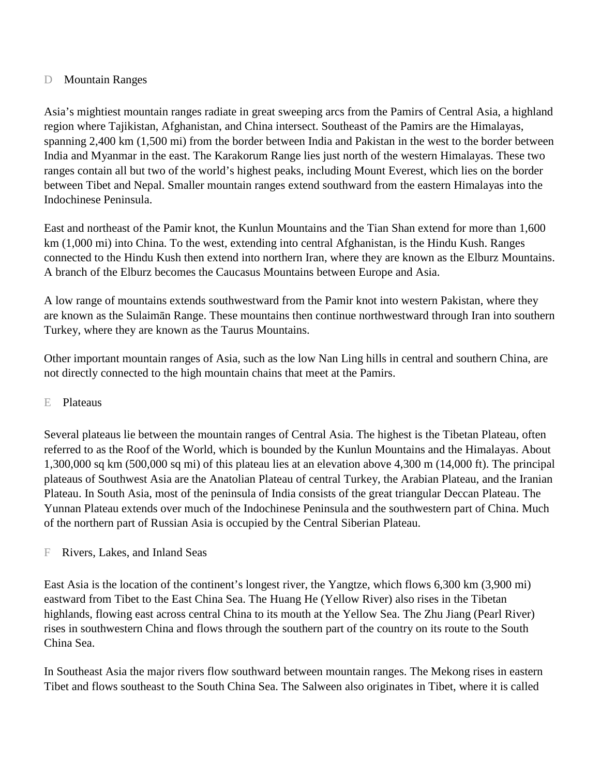## D Mountain Ranges

Asia's mightiest mountain ranges radiate in great sweeping arcs from the Pamirs of Central Asia, a highland region where Tajikistan, Afghanistan, and China intersect. Southeast of the Pamirs are the Himalayas, spanning 2,400 km (1,500 mi) from the border between India and Pakistan in the west to the border between India and Myanmar in the east. The Karakorum Range lies just north of the western Himalayas. These two ranges contain all but two of the world's highest peaks, including Mount Everest, which lies on the border between Tibet and Nepal. Smaller mountain ranges extend southward from the eastern Himalayas into the Indochinese Peninsula.

East and northeast of the Pamir knot, the Kunlun Mountains and the Tian Shan extend for more than 1,600 km (1,000 mi) into China. To the west, extending into central Afghanistan, is the Hindu Kush. Ranges connected to the Hindu Kush then extend into northern Iran, where they are known as the Elburz Mountains. A branch of the Elburz becomes the Caucasus Mountains between Europe and Asia.

A low range of mountains extends southwestward from the Pamir knot into western Pakistan, where they are known as the Sulaimān Range. These mountains then continue northwestward through Iran into southern Turkey, where they are known as the Taurus Mountains.

Other important mountain ranges of Asia, such as the low Nan Ling hills in central and southern China, are not directly connected to the high mountain chains that meet at the Pamirs.

## E Plateaus

Several plateaus lie between the mountain ranges of Central Asia. The highest is the Tibetan Plateau, often referred to as the Roof of the World, which is bounded by the Kunlun Mountains and the Himalayas. About 1,300,000 sq km (500,000 sq mi) of this plateau lies at an elevation above 4,300 m (14,000 ft). The principal plateaus of Southwest Asia are the Anatolian Plateau of central Turkey, the Arabian Plateau, and the Iranian Plateau. In South Asia, most of the peninsula of India consists of the great triangular Deccan Plateau. The Yunnan Plateau extends over much of the Indochinese Peninsula and the southwestern part of China. Much of the northern part of Russian Asia is occupied by the Central Siberian Plateau.

F Rivers, Lakes, and Inland Seas

East Asia is the location of the continent's longest river, the Yangtze, which flows 6,300 km (3,900 mi) eastward from Tibet to the East China Sea. The Huang He (Yellow River) also rises in the Tibetan highlands, flowing east across central China to its mouth at the Yellow Sea. The Zhu Jiang (Pearl River) rises in southwestern China and flows through the southern part of the country on its route to the South China Sea.

In Southeast Asia the major rivers flow southward between mountain ranges. The Mekong rises in eastern Tibet and flows southeast to the South China Sea. The Salween also originates in Tibet, where it is called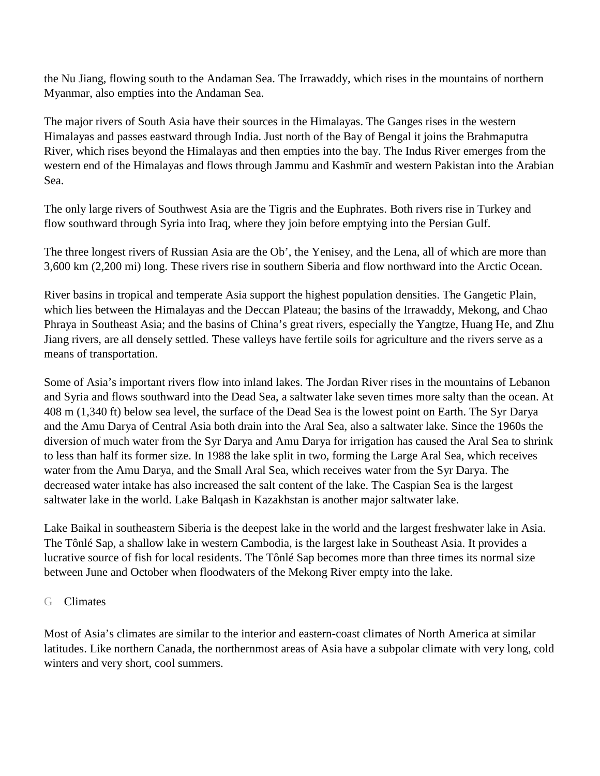the Nu Jiang, flowing south to the Andaman Sea. The Irrawaddy, which rises in the mountains of northern Myanmar, also empties into the Andaman Sea.

The major rivers of South Asia have their sources in the Himalayas. The Ganges rises in the western Himalayas and passes eastward through India. Just north of the Bay of Bengal it joins the Brahmaputra River, which rises beyond the Himalayas and then empties into the bay. The Indus River emerges from the western end of the Himalayas and flows through Jammu and Kashmīr and western Pakistan into the Arabian Sea.

The only large rivers of Southwest Asia are the Tigris and the Euphrates. Both rivers rise in Turkey and flow southward through Syria into Iraq, where they join before emptying into the Persian Gulf.

The three longest rivers of Russian Asia are the Ob', the Yenisey, and the Lena, all of which are more than 3,600 km (2,200 mi) long. These rivers rise in southern Siberia and flow northward into the Arctic Ocean.

River basins in tropical and temperate Asia support the highest population densities. The Gangetic Plain, which lies between the Himalayas and the Deccan Plateau; the basins of the Irrawaddy, Mekong, and Chao Phraya in Southeast Asia; and the basins of China's great rivers, especially the Yangtze, Huang He, and Zhu Jiang rivers, are all densely settled. These valleys have fertile soils for agriculture and the rivers serve as a means of transportation.

Some of Asia's important rivers flow into inland lakes. The Jordan River rises in the mountains of Lebanon and Syria and flows southward into the Dead Sea, a saltwater lake seven times more salty than the ocean. At 408 m (1,340 ft) below sea level, the surface of the Dead Sea is the lowest point on Earth. The Syr Darya and the Amu Darya of Central Asia both drain into the Aral Sea, also a saltwater lake. Since the 1960s the diversion of much water from the Syr Darya and Amu Darya for irrigation has caused the Aral Sea to shrink to less than half its former size. In 1988 the lake split in two, forming the Large Aral Sea, which receives water from the Amu Darya, and the Small Aral Sea, which receives water from the Syr Darya. The decreased water intake has also increased the salt content of the lake. The Caspian Sea is the largest saltwater lake in the world. Lake Balqash in Kazakhstan is another major saltwater lake.

Lake Baikal in southeastern Siberia is the deepest lake in the world and the largest freshwater lake in Asia. The Tônlé Sap, a shallow lake in western Cambodia, is the largest lake in Southeast Asia. It provides a lucrative source of fish for local residents. The Tônlé Sap becomes more than three times its normal size between June and October when floodwaters of the Mekong River empty into the lake.

## G Climates

Most of Asia's climates are similar to the interior and eastern-coast climates of North America at similar latitudes. Like northern Canada, the northernmost areas of Asia have a subpolar climate with very long, cold winters and very short, cool summers.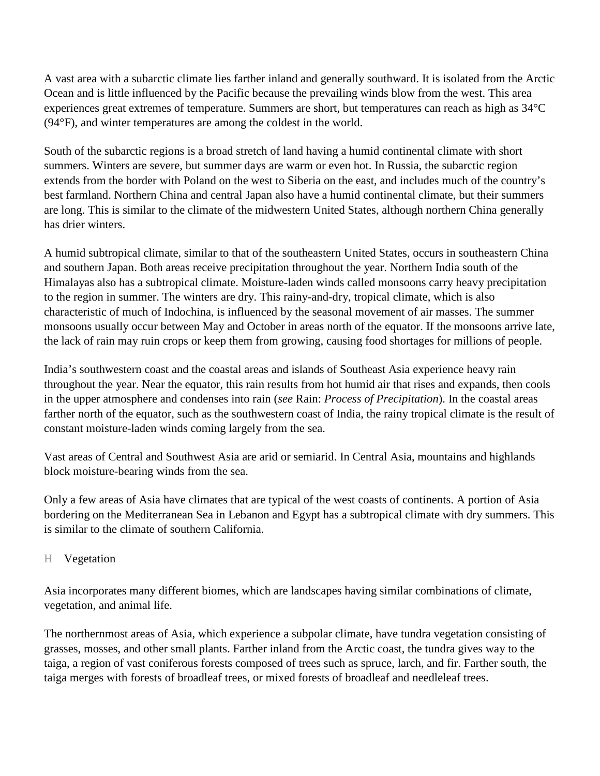A vast area with a subarctic climate lies farther inland and generally southward. It is isolated from the Arctic Ocean and is little influenced by the Pacific because the prevailing winds blow from the west. This area experiences great extremes of temperature. Summers are short, but temperatures can reach as high as 34°C (94°F), and winter temperatures are among the coldest in the world.

South of the subarctic regions is a broad stretch of land having a humid continental climate with short summers. Winters are severe, but summer days are warm or even hot. In Russia, the subarctic region extends from the border with Poland on the west to Siberia on the east, and includes much of the country's best farmland. Northern China and central Japan also have a humid continental climate, but their summers are long. This is similar to the climate of the midwestern United States, although northern China generally has drier winters.

A humid subtropical climate, similar to that of the southeastern United States, occurs in southeastern China and southern Japan. Both areas receive precipitation throughout the year. Northern India south of the Himalayas also has a subtropical climate. Moisture-laden winds called monsoons carry heavy precipitation to the region in summer. The winters are dry. This rainy-and-dry, tropical climate, which is also characteristic of much of Indochina, is influenced by the seasonal movement of air masses. The summer monsoons usually occur between May and October in areas north of the equator. If the monsoons arrive late, the lack of rain may ruin crops or keep them from growing, causing food shortages for millions of people.

India's southwestern coast and the coastal areas and islands of Southeast Asia experience heavy rain throughout the year. Near the equator, this rain results from hot humid air that rises and expands, then cools in the upper atmosphere and condenses into rain (*see* Rain: *Process of Precipitation*). In the coastal areas farther north of the equator, such as the southwestern coast of India, the rainy tropical climate is the result of constant moisture-laden winds coming largely from the sea.

Vast areas of Central and Southwest Asia are arid or semiarid. In Central Asia, mountains and highlands block moisture-bearing winds from the sea.

Only a few areas of Asia have climates that are typical of the west coasts of continents. A portion of Asia bordering on the Mediterranean Sea in Lebanon and Egypt has a subtropical climate with dry summers. This is similar to the climate of southern California.

## H Vegetation

Asia incorporates many different biomes, which are landscapes having similar combinations of climate, vegetation, and animal life.

The northernmost areas of Asia, which experience a subpolar climate, have tundra vegetation consisting of grasses, mosses, and other small plants. Farther inland from the Arctic coast, the tundra gives way to the taiga, a region of vast coniferous forests composed of trees such as spruce, larch, and fir. Farther south, the taiga merges with forests of broadleaf trees, or mixed forests of broadleaf and needleleaf trees.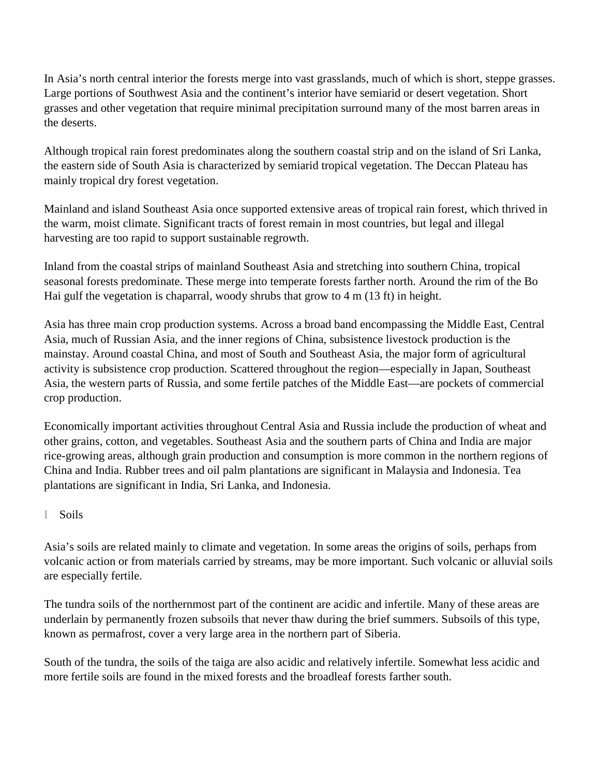In Asia's north central interior the forests merge into vast grasslands, much of which is short, steppe grasses. Large portions of Southwest Asia and the continent's interior have semiarid or desert vegetation. Short grasses and other vegetation that require minimal precipitation surround many of the most barren areas in the deserts.

Although tropical rain forest predominates along the southern coastal strip and on the island of Sri Lanka, the eastern side of South Asia is characterized by semiarid tropical vegetation. The Deccan Plateau has mainly tropical dry forest vegetation.

Mainland and island Southeast Asia once supported extensive areas of tropical rain forest, which thrived in the warm, moist climate. Significant tracts of forest remain in most countries, but legal and illegal harvesting are too rapid to support sustainable regrowth.

Inland from the coastal strips of mainland Southeast Asia and stretching into southern China, tropical seasonal forests predominate. These merge into temperate forests farther north. Around the rim of the Bo Hai gulf the vegetation is chaparral, woody shrubs that grow to 4 m (13 ft) in height.

Asia has three main crop production systems. Across a broad band encompassing the Middle East, Central Asia, much of Russian Asia, and the inner regions of China, subsistence livestock production is the mainstay. Around coastal China, and most of South and Southeast Asia, the major form of agricultural activity is subsistence crop production. Scattered throughout the region—especially in Japan, Southeast Asia, the western parts of Russia, and some fertile patches of the Middle East—are pockets of commercial crop production.

Economically important activities throughout Central Asia and Russia include the production of wheat and other grains, cotton, and vegetables. Southeast Asia and the southern parts of China and India are major rice-growing areas, although grain production and consumption is more common in the northern regions of China and India. Rubber trees and oil palm plantations are significant in Malaysia and Indonesia. Tea plantations are significant in India, Sri Lanka, and Indonesia.

# I Soils

Asia's soils are related mainly to climate and vegetation. In some areas the origins of soils, perhaps from volcanic action or from materials carried by streams, may be more important. Such volcanic or alluvial soils are especially fertile.

The tundra soils of the northernmost part of the continent are acidic and infertile. Many of these areas are underlain by permanently frozen subsoils that never thaw during the brief summers. Subsoils of this type, known as permafrost, cover a very large area in the northern part of Siberia.

South of the tundra, the soils of the taiga are also acidic and relatively infertile. Somewhat less acidic and more fertile soils are found in the mixed forests and the broadleaf forests farther south.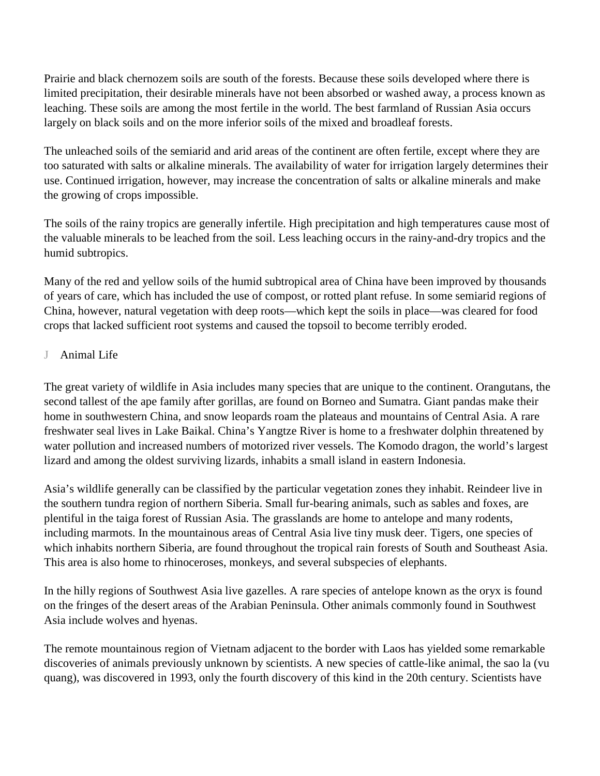Prairie and black chernozem soils are south of the forests. Because these soils developed where there is limited precipitation, their desirable minerals have not been absorbed or washed away, a process known as leaching. These soils are among the most fertile in the world. The best farmland of Russian Asia occurs largely on black soils and on the more inferior soils of the mixed and broadleaf forests.

The unleached soils of the semiarid and arid areas of the continent are often fertile, except where they are too saturated with salts or alkaline minerals. The availability of water for irrigation largely determines their use. Continued irrigation, however, may increase the concentration of salts or alkaline minerals and make the growing of crops impossible.

The soils of the rainy tropics are generally infertile. High precipitation and high temperatures cause most of the valuable minerals to be leached from the soil. Less leaching occurs in the rainy-and-dry tropics and the humid subtropics.

Many of the red and yellow soils of the humid subtropical area of China have been improved by thousands of years of care, which has included the use of compost, or rotted plant refuse. In some semiarid regions of China, however, natural vegetation with deep roots—which kept the soils in place—was cleared for food crops that lacked sufficient root systems and caused the topsoil to become terribly eroded.

# J Animal Life

The great variety of wildlife in Asia includes many species that are unique to the continent. Orangutans, the second tallest of the ape family after gorillas, are found on Borneo and Sumatra. Giant pandas make their home in southwestern China, and snow leopards roam the plateaus and mountains of Central Asia. A rare freshwater seal lives in Lake Baikal. China's Yangtze River is home to a freshwater dolphin threatened by water pollution and increased numbers of motorized river vessels. The Komodo dragon, the world's largest lizard and among the oldest surviving lizards, inhabits a small island in eastern Indonesia.

Asia's wildlife generally can be classified by the particular vegetation zones they inhabit. Reindeer live in the southern tundra region of northern Siberia. Small fur-bearing animals, such as sables and foxes, are plentiful in the taiga forest of Russian Asia. The grasslands are home to antelope and many rodents, including marmots. In the mountainous areas of Central Asia live tiny musk deer. Tigers, one species of which inhabits northern Siberia, are found throughout the tropical rain forests of South and Southeast Asia. This area is also home to rhinoceroses, monkeys, and several subspecies of elephants.

In the hilly regions of Southwest Asia live gazelles. A rare species of antelope known as the oryx is found on the fringes of the desert areas of the Arabian Peninsula. Other animals commonly found in Southwest Asia include wolves and hyenas.

The remote mountainous region of Vietnam adjacent to the border with Laos has yielded some remarkable discoveries of animals previously unknown by scientists. A new species of cattle-like animal, the sao la (vu quang), was discovered in 1993, only the fourth discovery of this kind in the 20th century. Scientists have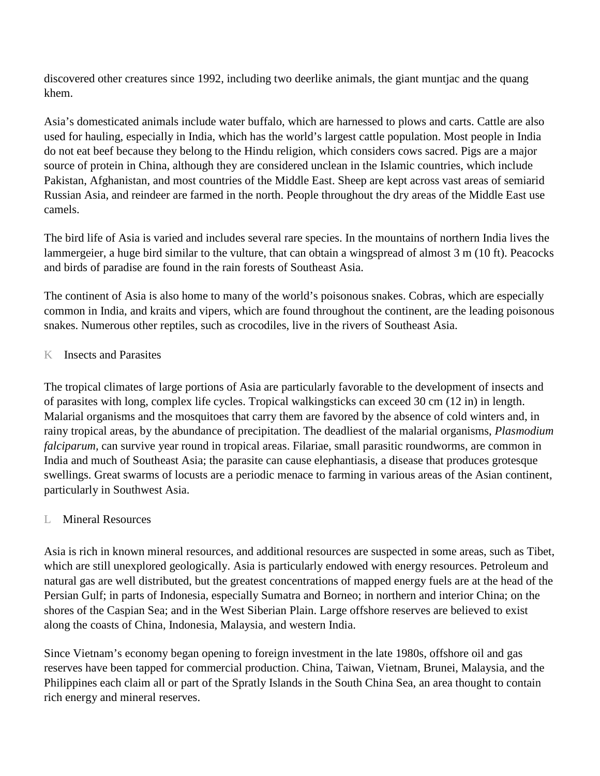discovered other creatures since 1992, including two deerlike animals, the giant muntjac and the quang khem.

Asia's domesticated animals include water buffalo, which are harnessed to plows and carts. Cattle are also used for hauling, especially in India, which has the world's largest cattle population. Most people in India do not eat beef because they belong to the Hindu religion, which considers cows sacred. Pigs are a major source of protein in China, although they are considered unclean in the Islamic countries, which include Pakistan, Afghanistan, and most countries of the Middle East. Sheep are kept across vast areas of semiarid Russian Asia, and reindeer are farmed in the north. People throughout the dry areas of the Middle East use camels.

The bird life of Asia is varied and includes several rare species. In the mountains of northern India lives the lammergeier, a huge bird similar to the vulture, that can obtain a wingspread of almost 3 m (10 ft). Peacocks and birds of paradise are found in the rain forests of Southeast Asia.

The continent of Asia is also home to many of the world's poisonous snakes. Cobras, which are especially common in India, and kraits and vipers, which are found throughout the continent, are the leading poisonous snakes. Numerous other reptiles, such as crocodiles, live in the rivers of Southeast Asia.

## K Insects and Parasites

The tropical climates of large portions of Asia are particularly favorable to the development of insects and of parasites with long, complex life cycles. Tropical walkingsticks can exceed 30 cm (12 in) in length. Malarial organisms and the mosquitoes that carry them are favored by the absence of cold winters and, in rainy tropical areas, by the abundance of precipitation. The deadliest of the malarial organisms, *Plasmodium falciparum,* can survive year round in tropical areas. Filariae, small parasitic roundworms, are common in India and much of Southeast Asia; the parasite can cause elephantiasis, a disease that produces grotesque swellings. Great swarms of locusts are a periodic menace to farming in various areas of the Asian continent, particularly in Southwest Asia.

# L Mineral Resources

Asia is rich in known mineral resources, and additional resources are suspected in some areas, such as Tibet, which are still unexplored geologically. Asia is particularly endowed with energy resources. Petroleum and natural gas are well distributed, but the greatest concentrations of mapped energy fuels are at the head of the Persian Gulf; in parts of Indonesia, especially Sumatra and Borneo; in northern and interior China; on the shores of the Caspian Sea; and in the West Siberian Plain. Large offshore reserves are believed to exist along the coasts of China, Indonesia, Malaysia, and western India.

Since Vietnam's economy began opening to foreign investment in the late 1980s, offshore oil and gas reserves have been tapped for commercial production. China, Taiwan, Vietnam, Brunei, Malaysia, and the Philippines each claim all or part of the Spratly Islands in the South China Sea, an area thought to contain rich energy and mineral reserves.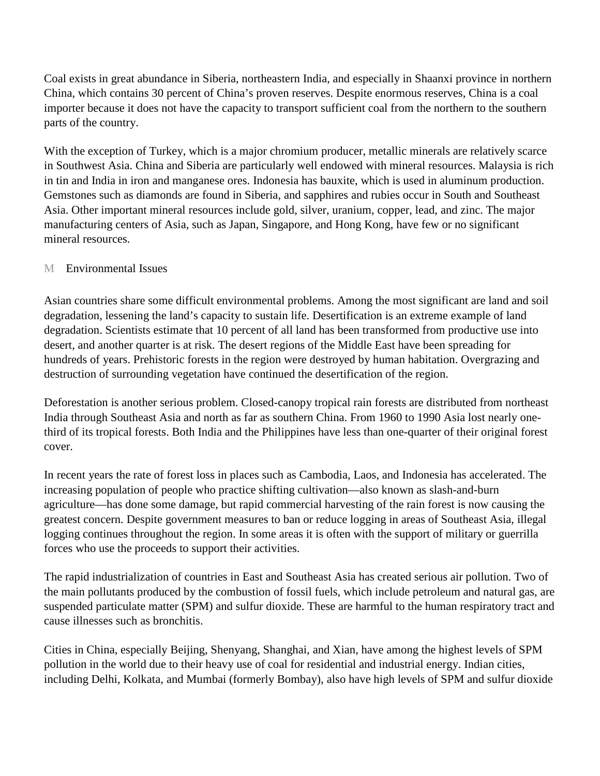Coal exists in great abundance in Siberia, northeastern India, and especially in Shaanxi province in northern China, which contains 30 percent of China's proven reserves. Despite enormous reserves, China is a coal importer because it does not have the capacity to transport sufficient coal from the northern to the southern parts of the country.

With the exception of Turkey, which is a major chromium producer, metallic minerals are relatively scarce in Southwest Asia. China and Siberia are particularly well endowed with mineral resources. Malaysia is rich in tin and India in iron and manganese ores. Indonesia has bauxite, which is used in aluminum production. Gemstones such as diamonds are found in Siberia, and sapphires and rubies occur in South and Southeast Asia. Other important mineral resources include gold, silver, uranium, copper, lead, and zinc. The major manufacturing centers of Asia, such as Japan, Singapore, and Hong Kong, have few or no significant mineral resources.

#### M Environmental Issues

Asian countries share some difficult environmental problems. Among the most significant are land and soil degradation, lessening the land's capacity to sustain life. Desertification is an extreme example of land degradation. Scientists estimate that 10 percent of all land has been transformed from productive use into desert, and another quarter is at risk. The desert regions of the Middle East have been spreading for hundreds of years. Prehistoric forests in the region were destroyed by human habitation. Overgrazing and destruction of surrounding vegetation have continued the desertification of the region.

Deforestation is another serious problem. Closed-canopy tropical rain forests are distributed from northeast India through Southeast Asia and north as far as southern China. From 1960 to 1990 Asia lost nearly onethird of its tropical forests. Both India and the Philippines have less than one-quarter of their original forest cover.

In recent years the rate of forest loss in places such as Cambodia, Laos, and Indonesia has accelerated. The increasing population of people who practice shifting cultivation—also known as slash-and-burn agriculture—has done some damage, but rapid commercial harvesting of the rain forest is now causing the greatest concern. Despite government measures to ban or reduce logging in areas of Southeast Asia, illegal logging continues throughout the region. In some areas it is often with the support of military or guerrilla forces who use the proceeds to support their activities.

The rapid industrialization of countries in East and Southeast Asia has created serious air pollution. Two of the main pollutants produced by the combustion of fossil fuels, which include petroleum and natural gas, are suspended particulate matter (SPM) and sulfur dioxide. These are harmful to the human respiratory tract and cause illnesses such as bronchitis.

Cities in China, especially Beijing, Shenyang, Shanghai, and Xian, have among the highest levels of SPM pollution in the world due to their heavy use of coal for residential and industrial energy. Indian cities, including Delhi, Kolkata, and Mumbai (formerly Bombay), also have high levels of SPM and sulfur dioxide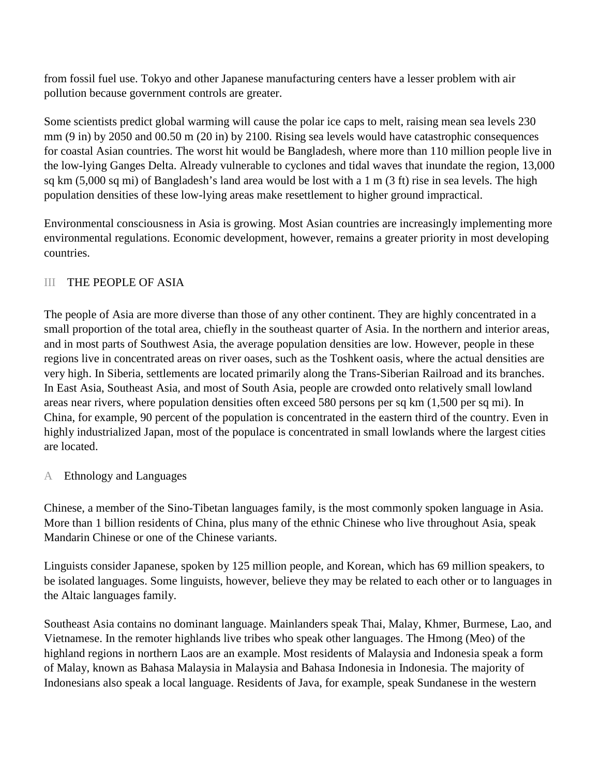from fossil fuel use. Tokyo and other Japanese manufacturing centers have a lesser problem with air pollution because government controls are greater.

Some scientists predict global warming will cause the polar ice caps to melt, raising mean sea levels 230 mm (9 in) by 2050 and 00.50 m (20 in) by 2100. Rising sea levels would have catastrophic consequences for coastal Asian countries. The worst hit would be Bangladesh, where more than 110 million people live in the low-lying Ganges Delta. Already vulnerable to cyclones and tidal waves that inundate the region, 13,000 sq km (5,000 sq mi) of Bangladesh's land area would be lost with a 1 m (3 ft) rise in sea levels. The high population densities of these low-lying areas make resettlement to higher ground impractical.

Environmental consciousness in Asia is growing. Most Asian countries are increasingly implementing more environmental regulations. Economic development, however, remains a greater priority in most developing countries.

## III THE PEOPLE OF ASIA

The people of Asia are more diverse than those of any other continent. They are highly concentrated in a small proportion of the total area, chiefly in the southeast quarter of Asia. In the northern and interior areas, and in most parts of Southwest Asia, the average population densities are low. However, people in these regions live in concentrated areas on river oases, such as the Toshkent oasis, where the actual densities are very high. In Siberia, settlements are located primarily along the Trans-Siberian Railroad and its branches. In East Asia, Southeast Asia, and most of South Asia, people are crowded onto relatively small lowland areas near rivers, where population densities often exceed 580 persons per sq km (1,500 per sq mi). In China, for example, 90 percent of the population is concentrated in the eastern third of the country. Even in highly industrialized Japan, most of the populace is concentrated in small lowlands where the largest cities are located.

A Ethnology and Languages

Chinese, a member of the Sino-Tibetan languages family, is the most commonly spoken language in Asia. More than 1 billion residents of China, plus many of the ethnic Chinese who live throughout Asia, speak Mandarin Chinese or one of the Chinese variants.

Linguists consider Japanese, spoken by 125 million people, and Korean, which has 69 million speakers, to be isolated languages. Some linguists, however, believe they may be related to each other or to languages in the Altaic languages family.

Southeast Asia contains no dominant language. Mainlanders speak Thai, Malay, Khmer, Burmese, Lao, and Vietnamese. In the remoter highlands live tribes who speak other languages. The Hmong (Meo) of the highland regions in northern Laos are an example. Most residents of Malaysia and Indonesia speak a form of Malay, known as Bahasa Malaysia in Malaysia and Bahasa Indonesia in Indonesia. The majority of Indonesians also speak a local language. Residents of Java, for example, speak Sundanese in the western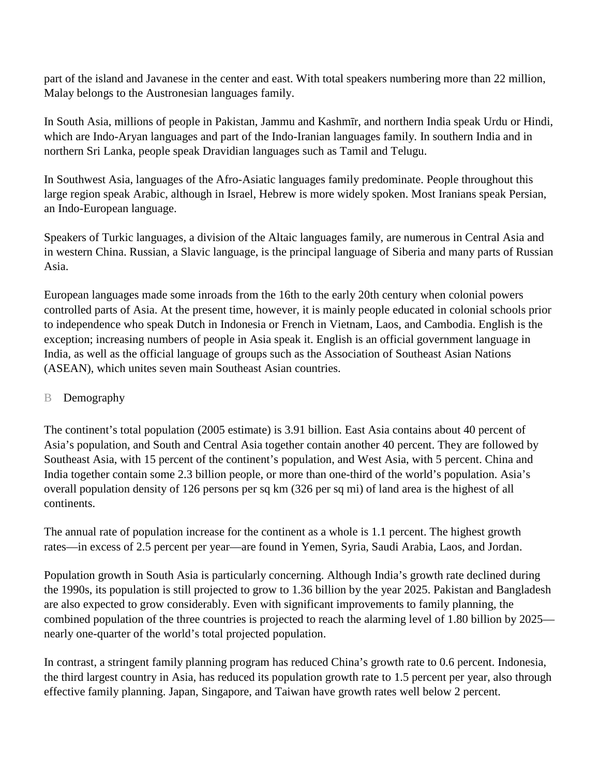part of the island and Javanese in the center and east. With total speakers numbering more than 22 million, Malay belongs to the Austronesian languages family.

In South Asia, millions of people in Pakistan, Jammu and Kashmīr, and northern India speak Urdu or Hindi, which are Indo-Aryan languages and part of the Indo-Iranian languages family. In southern India and in northern Sri Lanka, people speak Dravidian languages such as Tamil and Telugu.

In Southwest Asia, languages of the Afro-Asiatic languages family predominate. People throughout this large region speak Arabic, although in Israel, Hebrew is more widely spoken. Most Iranians speak Persian, an Indo-European language.

Speakers of Turkic languages, a division of the Altaic languages family, are numerous in Central Asia and in western China. Russian, a Slavic language, is the principal language of Siberia and many parts of Russian Asia.

European languages made some inroads from the 16th to the early 20th century when colonial powers controlled parts of Asia. At the present time, however, it is mainly people educated in colonial schools prior to independence who speak Dutch in Indonesia or French in Vietnam, Laos, and Cambodia. English is the exception; increasing numbers of people in Asia speak it. English is an official government language in India, as well as the official language of groups such as the Association of Southeast Asian Nations (ASEAN), which unites seven main Southeast Asian countries.

## B Demography

The continent's total population (2005 estimate) is 3.91 billion. East Asia contains about 40 percent of Asia's population, and South and Central Asia together contain another 40 percent. They are followed by Southeast Asia, with 15 percent of the continent's population, and West Asia, with 5 percent. China and India together contain some 2.3 billion people, or more than one-third of the world's population. Asia's overall population density of 126 persons per sq km (326 per sq mi) of land area is the highest of all continents.

The annual rate of population increase for the continent as a whole is 1.1 percent. The highest growth rates—in excess of 2.5 percent per year—are found in Yemen, Syria, Saudi Arabia, Laos, and Jordan.

Population growth in South Asia is particularly concerning. Although India's growth rate declined during the 1990s, its population is still projected to grow to 1.36 billion by the year 2025. Pakistan and Bangladesh are also expected to grow considerably. Even with significant improvements to family planning, the combined population of the three countries is projected to reach the alarming level of 1.80 billion by 2025 nearly one-quarter of the world's total projected population.

In contrast, a stringent family planning program has reduced China's growth rate to 0.6 percent. Indonesia, the third largest country in Asia, has reduced its population growth rate to 1.5 percent per year, also through effective family planning. Japan, Singapore, and Taiwan have growth rates well below 2 percent.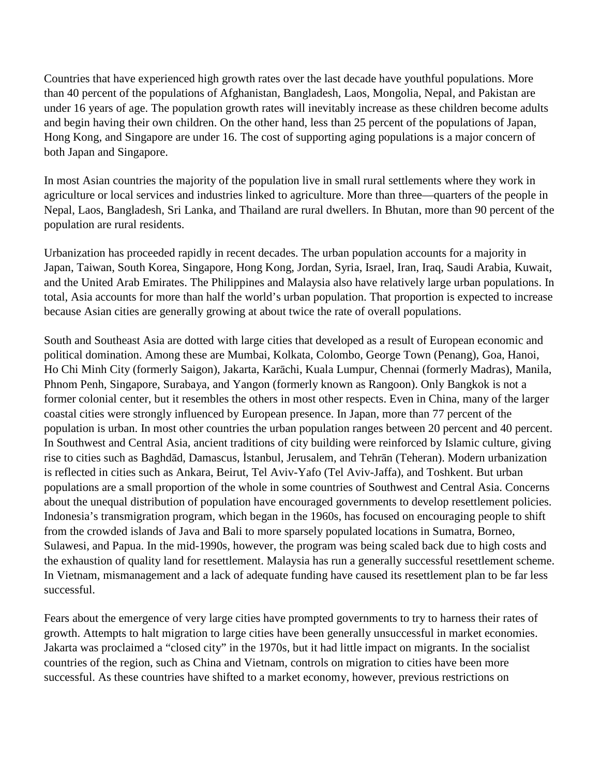Countries that have experienced high growth rates over the last decade have youthful populations. More than 40 percent of the populations of Afghanistan, Bangladesh, Laos, Mongolia, Nepal, and Pakistan are under 16 years of age. The population growth rates will inevitably increase as these children become adults and begin having their own children. On the other hand, less than 25 percent of the populations of Japan, Hong Kong, and Singapore are under 16. The cost of supporting aging populations is a major concern of both Japan and Singapore.

In most Asian countries the majority of the population live in small rural settlements where they work in agriculture or local services and industries linked to agriculture. More than three—quarters of the people in Nepal, Laos, Bangladesh, Sri Lanka, and Thailand are rural dwellers. In Bhutan, more than 90 percent of the population are rural residents.

Urbanization has proceeded rapidly in recent decades. The urban population accounts for a majority in Japan, Taiwan, South Korea, Singapore, Hong Kong, Jordan, Syria, Israel, Iran, Iraq, Saudi Arabia, Kuwait, and the United Arab Emirates. The Philippines and Malaysia also have relatively large urban populations. In total, Asia accounts for more than half the world's urban population. That proportion is expected to increase because Asian cities are generally growing at about twice the rate of overall populations.

South and Southeast Asia are dotted with large cities that developed as a result of European economic and political domination. Among these are Mumbai, Kolkata, Colombo, George Town (Penang), Goa, Hanoi, Ho Chi Minh City (formerly Saigon), Jakarta, Karāchi, Kuala Lumpur, Chennai (formerly Madras), Manila, Phnom Penh, Singapore, Surabaya, and Yangon (formerly known as Rangoon). Only Bangkok is not a former colonial center, but it resembles the others in most other respects. Even in China, many of the larger coastal cities were strongly influenced by European presence. In Japan, more than 77 percent of the population is urban. In most other countries the urban population ranges between 20 percent and 40 percent. In Southwest and Central Asia, ancient traditions of city building were reinforced by Islamic culture, giving rise to cities such as Baghdād, Damascus, İstanbul, Jerusalem, and Tehrān (Teheran). Modern urbanization is reflected in cities such as Ankara, Beirut, Tel Aviv-Yafo (Tel Aviv-Jaffa), and Toshkent. But urban populations are a small proportion of the whole in some countries of Southwest and Central Asia. Concerns about the unequal distribution of population have encouraged governments to develop resettlement policies. Indonesia's transmigration program, which began in the 1960s, has focused on encouraging people to shift from the crowded islands of Java and Bali to more sparsely populated locations in Sumatra, Borneo, Sulawesi, and Papua. In the mid-1990s, however, the program was being scaled back due to high costs and the exhaustion of quality land for resettlement. Malaysia has run a generally successful resettlement scheme. In Vietnam, mismanagement and a lack of adequate funding have caused its resettlement plan to be far less successful.

Fears about the emergence of very large cities have prompted governments to try to harness their rates of growth. Attempts to halt migration to large cities have been generally unsuccessful in market economies. Jakarta was proclaimed a "closed city" in the 1970s, but it had little impact on migrants. In the socialist countries of the region, such as China and Vietnam, controls on migration to cities have been more successful. As these countries have shifted to a market economy, however, previous restrictions on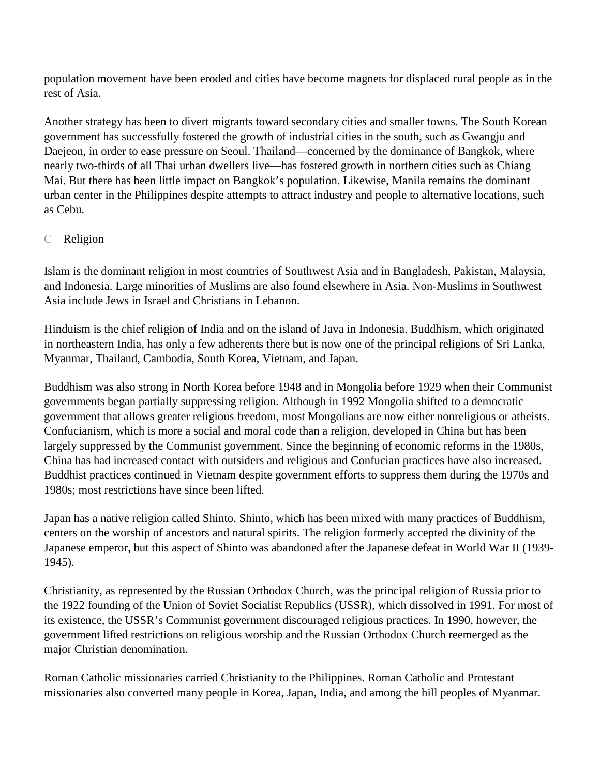population movement have been eroded and cities have become magnets for displaced rural people as in the rest of Asia.

Another strategy has been to divert migrants toward secondary cities and smaller towns. The South Korean government has successfully fostered the growth of industrial cities in the south, such as Gwangju and Daejeon, in order to ease pressure on Seoul. Thailand—concerned by the dominance of Bangkok, where nearly two-thirds of all Thai urban dwellers live—has fostered growth in northern cities such as Chiang Mai. But there has been little impact on Bangkok's population. Likewise, Manila remains the dominant urban center in the Philippines despite attempts to attract industry and people to alternative locations, such as Cebu.

## C Religion

Islam is the dominant religion in most countries of Southwest Asia and in Bangladesh, Pakistan, Malaysia, and Indonesia. Large minorities of Muslims are also found elsewhere in Asia. Non-Muslims in Southwest Asia include Jews in Israel and Christians in Lebanon.

Hinduism is the chief religion of India and on the island of Java in Indonesia. Buddhism, which originated in northeastern India, has only a few adherents there but is now one of the principal religions of Sri Lanka, Myanmar, Thailand, Cambodia, South Korea, Vietnam, and Japan.

Buddhism was also strong in North Korea before 1948 and in Mongolia before 1929 when their Communist governments began partially suppressing religion. Although in 1992 Mongolia shifted to a democratic government that allows greater religious freedom, most Mongolians are now either nonreligious or atheists. Confucianism, which is more a social and moral code than a religion, developed in China but has been largely suppressed by the Communist government. Since the beginning of economic reforms in the 1980s, China has had increased contact with outsiders and religious and Confucian practices have also increased. Buddhist practices continued in Vietnam despite government efforts to suppress them during the 1970s and 1980s; most restrictions have since been lifted.

Japan has a native religion called Shinto. Shinto, which has been mixed with many practices of Buddhism, centers on the worship of ancestors and natural spirits. The religion formerly accepted the divinity of the Japanese emperor, but this aspect of Shinto was abandoned after the Japanese defeat in World War II (1939- 1945).

Christianity, as represented by the Russian Orthodox Church, was the principal religion of Russia prior to the 1922 founding of the Union of Soviet Socialist Republics (USSR), which dissolved in 1991. For most of its existence, the USSR's Communist government discouraged religious practices. In 1990, however, the government lifted restrictions on religious worship and the Russian Orthodox Church reemerged as the major Christian denomination.

Roman Catholic missionaries carried Christianity to the Philippines. Roman Catholic and Protestant missionaries also converted many people in Korea, Japan, India, and among the hill peoples of Myanmar.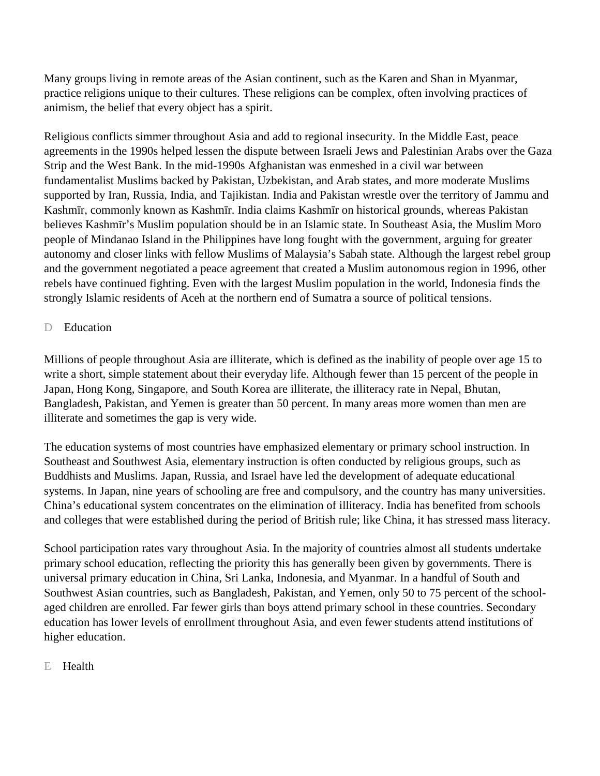Many groups living in remote areas of the Asian continent, such as the Karen and Shan in Myanmar, practice religions unique to their cultures. These religions can be complex, often involving practices of animism, the belief that every object has a spirit.

Religious conflicts simmer throughout Asia and add to regional insecurity. In the Middle East, peace agreements in the 1990s helped lessen the dispute between Israeli Jews and Palestinian Arabs over the Gaza Strip and the West Bank. In the mid-1990s Afghanistan was enmeshed in a civil war between fundamentalist Muslims backed by Pakistan, Uzbekistan, and Arab states, and more moderate Muslims supported by Iran, Russia, India, and Tajikistan. India and Pakistan wrestle over the territory of Jammu and Kashmīr, commonly known as Kashmīr. India claims Kashmīr on historical grounds, whereas Pakistan believes Kashmīr's Muslim population should be in an Islamic state. In Southeast Asia, the Muslim Moro people of Mindanao Island in the Philippines have long fought with the government, arguing for greater autonomy and closer links with fellow Muslims of Malaysia's Sabah state. Although the largest rebel group and the government negotiated a peace agreement that created a Muslim autonomous region in 1996, other rebels have continued fighting. Even with the largest Muslim population in the world, Indonesia finds the strongly Islamic residents of Aceh at the northern end of Sumatra a source of political tensions.

#### D Education

Millions of people throughout Asia are illiterate, which is defined as the inability of people over age 15 to write a short, simple statement about their everyday life. Although fewer than 15 percent of the people in Japan, Hong Kong, Singapore, and South Korea are illiterate, the illiteracy rate in Nepal, Bhutan, Bangladesh, Pakistan, and Yemen is greater than 50 percent. In many areas more women than men are illiterate and sometimes the gap is very wide.

The education systems of most countries have emphasized elementary or primary school instruction. In Southeast and Southwest Asia, elementary instruction is often conducted by religious groups, such as Buddhists and Muslims. Japan, Russia, and Israel have led the development of adequate educational systems. In Japan, nine years of schooling are free and compulsory, and the country has many universities. China's educational system concentrates on the elimination of illiteracy. India has benefited from schools and colleges that were established during the period of British rule; like China, it has stressed mass literacy.

School participation rates vary throughout Asia. In the majority of countries almost all students undertake primary school education, reflecting the priority this has generally been given by governments. There is universal primary education in China, Sri Lanka, Indonesia, and Myanmar. In a handful of South and Southwest Asian countries, such as Bangladesh, Pakistan, and Yemen, only 50 to 75 percent of the schoolaged children are enrolled. Far fewer girls than boys attend primary school in these countries. Secondary education has lower levels of enrollment throughout Asia, and even fewer students attend institutions of higher education.

## E Health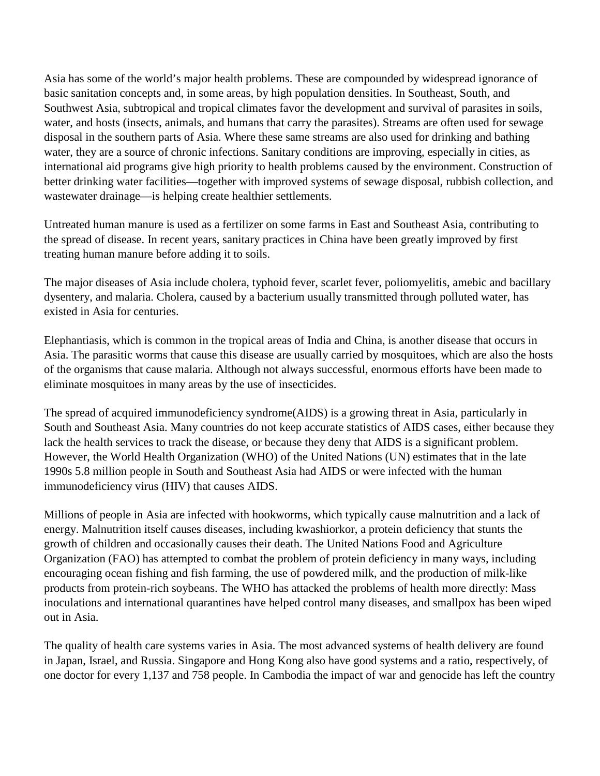Asia has some of the world's major health problems. These are compounded by widespread ignorance of basic sanitation concepts and, in some areas, by high population densities. In Southeast, South, and Southwest Asia, subtropical and tropical climates favor the development and survival of parasites in soils, water, and hosts (insects, animals, and humans that carry the parasites). Streams are often used for sewage disposal in the southern parts of Asia. Where these same streams are also used for drinking and bathing water, they are a source of chronic infections. Sanitary conditions are improving, especially in cities, as international aid programs give high priority to health problems caused by the environment. Construction of better drinking water facilities—together with improved systems of sewage disposal, rubbish collection, and wastewater drainage—is helping create healthier settlements.

Untreated human manure is used as a fertilizer on some farms in East and Southeast Asia, contributing to the spread of disease. In recent years, sanitary practices in China have been greatly improved by first treating human manure before adding it to soils.

The major diseases of Asia include cholera, typhoid fever, scarlet fever, poliomyelitis, amebic and bacillary dysentery, and malaria. Cholera, caused by a bacterium usually transmitted through polluted water, has existed in Asia for centuries.

Elephantiasis, which is common in the tropical areas of India and China, is another disease that occurs in Asia. The parasitic worms that cause this disease are usually carried by mosquitoes, which are also the hosts of the organisms that cause malaria. Although not always successful, enormous efforts have been made to eliminate mosquitoes in many areas by the use of insecticides.

The spread of acquired immunodeficiency syndrome(AIDS) is a growing threat in Asia, particularly in South and Southeast Asia. Many countries do not keep accurate statistics of AIDS cases, either because they lack the health services to track the disease, or because they deny that AIDS is a significant problem. However, the World Health Organization (WHO) of the United Nations (UN) estimates that in the late 1990s 5.8 million people in South and Southeast Asia had AIDS or were infected with the human immunodeficiency virus (HIV) that causes AIDS.

Millions of people in Asia are infected with hookworms, which typically cause malnutrition and a lack of energy. Malnutrition itself causes diseases, including kwashiorkor, a protein deficiency that stunts the growth of children and occasionally causes their death. The United Nations Food and Agriculture Organization (FAO) has attempted to combat the problem of protein deficiency in many ways, including encouraging ocean fishing and fish farming, the use of powdered milk, and the production of milk-like products from protein-rich soybeans. The WHO has attacked the problems of health more directly: Mass inoculations and international quarantines have helped control many diseases, and smallpox has been wiped out in Asia.

The quality of health care systems varies in Asia. The most advanced systems of health delivery are found in Japan, Israel, and Russia. Singapore and Hong Kong also have good systems and a ratio, respectively, of one doctor for every 1,137 and 758 people. In Cambodia the impact of war and genocide has left the country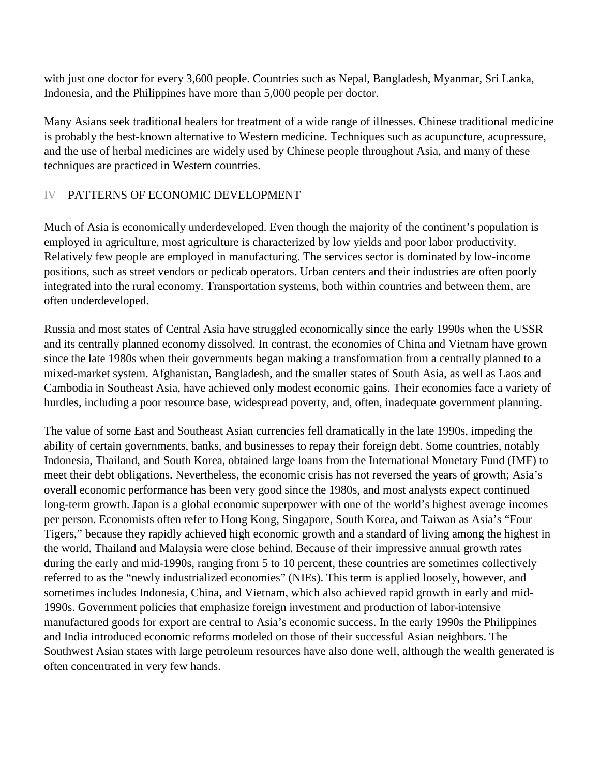with just one doctor for every 3,600 people. Countries such as Nepal, Bangladesh, Myanmar, Sri Lanka, Indonesia, and the Philippines have more than 5,000 people per doctor.

Many Asians seek traditional healers for treatment of a wide range of illnesses. Chinese traditional medicine is probably the best-known alternative to Western medicine. Techniques such as acupuncture, acupressure, and the use of herbal medicines are widely used by Chinese people throughout Asia, and many of these techniques are practiced in Western countries.

## IV PATTERNS OF ECONOMIC DEVELOPMENT

Much of Asia is economically underdeveloped. Even though the majority of the continent's population is employed in agriculture, most agriculture is characterized by low yields and poor labor productivity. Relatively few people are employed in manufacturing. The services sector is dominated by low-income positions, such as street vendors or pedicab operators. Urban centers and their industries are often poorly integrated into the rural economy. Transportation systems, both within countries and between them, are often underdeveloped.

Russia and most states of Central Asia have struggled economically since the early 1990s when the USSR and its centrally planned economy dissolved. In contrast, the economies of China and Vietnam have grown since the late 1980s when their governments began making a transformation from a centrally planned to a mixed-market system. Afghanistan, Bangladesh, and the smaller states of South Asia, as well as Laos and Cambodia in Southeast Asia, have achieved only modest economic gains. Their economies face a variety of hurdles, including a poor resource base, widespread poverty, and, often, inadequate government planning.

The value of some East and Southeast Asian currencies fell dramatically in the late 1990s, impeding the ability of certain governments, banks, and businesses to repay their foreign debt. Some countries, notably Indonesia, Thailand, and South Korea, obtained large loans from the International Monetary Fund (IMF) to meet their debt obligations. Nevertheless, the economic crisis has not reversed the years of growth; Asia's overall economic performance has been very good since the 1980s, and most analysts expect continued long-term growth. Japan is a global economic superpower with one of the world's highest average incomes per person. Economists often refer to Hong Kong, Singapore, South Korea, and Taiwan as Asia's "Four Tigers," because they rapidly achieved high economic growth and a standard of living among the highest in the world. Thailand and Malaysia were close behind. Because of their impressive annual growth rates during the early and mid-1990s, ranging from 5 to 10 percent, these countries are sometimes collectively referred to as the "newly industrialized economies" (NIEs). This term is applied loosely, however, and sometimes includes Indonesia, China, and Vietnam, which also achieved rapid growth in early and mid-1990s. Government policies that emphasize foreign investment and production of labor-intensive manufactured goods for export are central to Asia's economic success. In the early 1990s the Philippines and India introduced economic reforms modeled on those of their successful Asian neighbors. The Southwest Asian states with large petroleum resources have also done well, although the wealth generated is often concentrated in very few hands.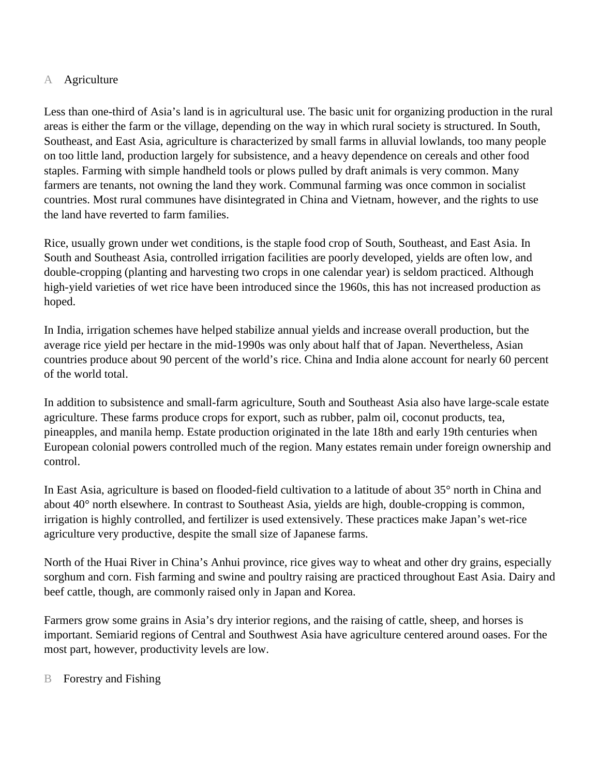## A Agriculture

Less than one-third of Asia's land is in agricultural use. The basic unit for organizing production in the rural areas is either the farm or the village, depending on the way in which rural society is structured. In South, Southeast, and East Asia, agriculture is characterized by small farms in alluvial lowlands, too many people on too little land, production largely for subsistence, and a heavy dependence on cereals and other food staples. Farming with simple handheld tools or plows pulled by draft animals is very common. Many farmers are tenants, not owning the land they work. Communal farming was once common in socialist countries. Most rural communes have disintegrated in China and Vietnam, however, and the rights to use the land have reverted to farm families.

Rice, usually grown under wet conditions, is the staple food crop of South, Southeast, and East Asia. In South and Southeast Asia, controlled irrigation facilities are poorly developed, yields are often low, and double-cropping (planting and harvesting two crops in one calendar year) is seldom practiced. Although high-yield varieties of wet rice have been introduced since the 1960s, this has not increased production as hoped.

In India, irrigation schemes have helped stabilize annual yields and increase overall production, but the average rice yield per hectare in the mid-1990s was only about half that of Japan. Nevertheless, Asian countries produce about 90 percent of the world's rice. China and India alone account for nearly 60 percent of the world total.

In addition to subsistence and small-farm agriculture, South and Southeast Asia also have large-scale estate agriculture. These farms produce crops for export, such as rubber, palm oil, coconut products, tea, pineapples, and manila hemp. Estate production originated in the late 18th and early 19th centuries when European colonial powers controlled much of the region. Many estates remain under foreign ownership and control.

In East Asia, agriculture is based on flooded-field cultivation to a latitude of about 35° north in China and about 40° north elsewhere. In contrast to Southeast Asia, yields are high, double-cropping is common, irrigation is highly controlled, and fertilizer is used extensively. These practices make Japan's wet-rice agriculture very productive, despite the small size of Japanese farms.

North of the Huai River in China's Anhui province, rice gives way to wheat and other dry grains, especially sorghum and corn. Fish farming and swine and poultry raising are practiced throughout East Asia. Dairy and beef cattle, though, are commonly raised only in Japan and Korea.

Farmers grow some grains in Asia's dry interior regions, and the raising of cattle, sheep, and horses is important. Semiarid regions of Central and Southwest Asia have agriculture centered around oases. For the most part, however, productivity levels are low.

B Forestry and Fishing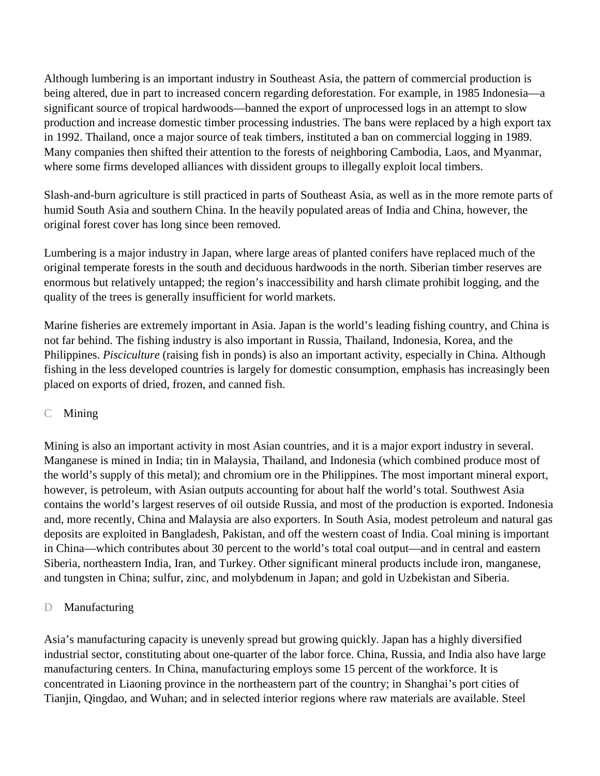Although lumbering is an important industry in Southeast Asia, the pattern of commercial production is being altered, due in part to increased concern regarding deforestation. For example, in 1985 Indonesia—a significant source of tropical hardwoods—banned the export of unprocessed logs in an attempt to slow production and increase domestic timber processing industries. The bans were replaced by a high export tax in 1992. Thailand, once a major source of teak timbers, instituted a ban on commercial logging in 1989. Many companies then shifted their attention to the forests of neighboring Cambodia, Laos, and Myanmar, where some firms developed alliances with dissident groups to illegally exploit local timbers.

Slash-and-burn agriculture is still practiced in parts of Southeast Asia, as well as in the more remote parts of humid South Asia and southern China. In the heavily populated areas of India and China, however, the original forest cover has long since been removed.

Lumbering is a major industry in Japan, where large areas of planted conifers have replaced much of the original temperate forests in the south and deciduous hardwoods in the north. Siberian timber reserves are enormous but relatively untapped; the region's inaccessibility and harsh climate prohibit logging, and the quality of the trees is generally insufficient for world markets.

Marine fisheries are extremely important in Asia. Japan is the world's leading fishing country, and China is not far behind. The fishing industry is also important in Russia, Thailand, Indonesia, Korea, and the Philippines. *Pisciculture* (raising fish in ponds) is also an important activity, especially in China. Although fishing in the less developed countries is largely for domestic consumption, emphasis has increasingly been placed on exports of dried, frozen, and canned fish.

## C Mining

Mining is also an important activity in most Asian countries, and it is a major export industry in several. Manganese is mined in India; tin in Malaysia, Thailand, and Indonesia (which combined produce most of the world's supply of this metal); and chromium ore in the Philippines. The most important mineral export, however, is petroleum, with Asian outputs accounting for about half the world's total. Southwest Asia contains the world's largest reserves of oil outside Russia, and most of the production is exported. Indonesia and, more recently, China and Malaysia are also exporters. In South Asia, modest petroleum and natural gas deposits are exploited in Bangladesh, Pakistan, and off the western coast of India. Coal mining is important in China—which contributes about 30 percent to the world's total coal output—and in central and eastern Siberia, northeastern India, Iran, and Turkey. Other significant mineral products include iron, manganese, and tungsten in China; sulfur, zinc, and molybdenum in Japan; and gold in Uzbekistan and Siberia.

## D Manufacturing

Asia's manufacturing capacity is unevenly spread but growing quickly. Japan has a highly diversified industrial sector, constituting about one-quarter of the labor force. China, Russia, and India also have large manufacturing centers. In China, manufacturing employs some 15 percent of the workforce. It is concentrated in Liaoning province in the northeastern part of the country; in Shanghai's port cities of Tianjin, Qingdao, and Wuhan; and in selected interior regions where raw materials are available. Steel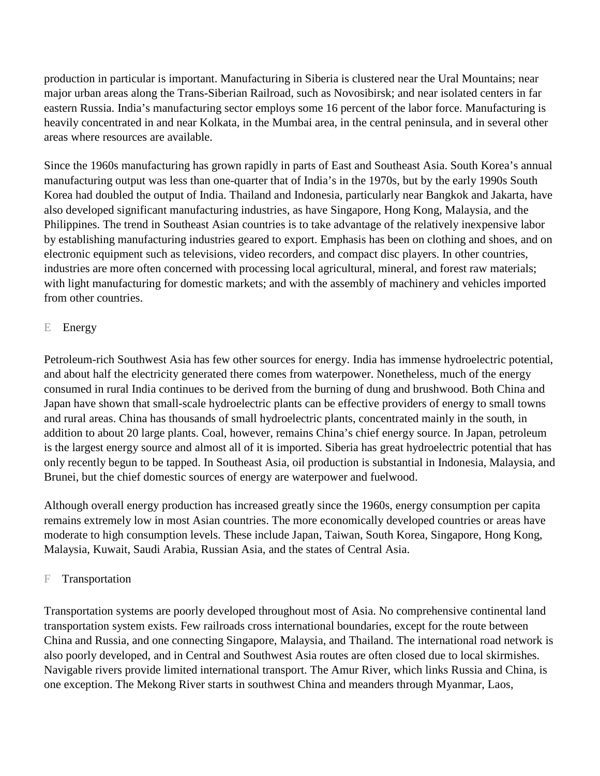production in particular is important. Manufacturing in Siberia is clustered near the Ural Mountains; near major urban areas along the Trans-Siberian Railroad, such as Novosibirsk; and near isolated centers in far eastern Russia. India's manufacturing sector employs some 16 percent of the labor force. Manufacturing is heavily concentrated in and near Kolkata, in the Mumbai area, in the central peninsula, and in several other areas where resources are available.

Since the 1960s manufacturing has grown rapidly in parts of East and Southeast Asia. South Korea's annual manufacturing output was less than one-quarter that of India's in the 1970s, but by the early 1990s South Korea had doubled the output of India. Thailand and Indonesia, particularly near Bangkok and Jakarta, have also developed significant manufacturing industries, as have Singapore, Hong Kong, Malaysia, and the Philippines. The trend in Southeast Asian countries is to take advantage of the relatively inexpensive labor by establishing manufacturing industries geared to export. Emphasis has been on clothing and shoes, and on electronic equipment such as televisions, video recorders, and compact disc players. In other countries, industries are more often concerned with processing local agricultural, mineral, and forest raw materials; with light manufacturing for domestic markets; and with the assembly of machinery and vehicles imported from other countries.

## E Energy

Petroleum-rich Southwest Asia has few other sources for energy. India has immense hydroelectric potential, and about half the electricity generated there comes from waterpower. Nonetheless, much of the energy consumed in rural India continues to be derived from the burning of dung and brushwood. Both China and Japan have shown that small-scale hydroelectric plants can be effective providers of energy to small towns and rural areas. China has thousands of small hydroelectric plants, concentrated mainly in the south, in addition to about 20 large plants. Coal, however, remains China's chief energy source. In Japan, petroleum is the largest energy source and almost all of it is imported. Siberia has great hydroelectric potential that has only recently begun to be tapped. In Southeast Asia, oil production is substantial in Indonesia, Malaysia, and Brunei, but the chief domestic sources of energy are waterpower and fuelwood.

Although overall energy production has increased greatly since the 1960s, energy consumption per capita remains extremely low in most Asian countries. The more economically developed countries or areas have moderate to high consumption levels. These include Japan, Taiwan, South Korea, Singapore, Hong Kong, Malaysia, Kuwait, Saudi Arabia, Russian Asia, and the states of Central Asia.

## F Transportation

Transportation systems are poorly developed throughout most of Asia. No comprehensive continental land transportation system exists. Few railroads cross international boundaries, except for the route between China and Russia, and one connecting Singapore, Malaysia, and Thailand. The international road network is also poorly developed, and in Central and Southwest Asia routes are often closed due to local skirmishes. Navigable rivers provide limited international transport. The Amur River, which links Russia and China, is one exception. The Mekong River starts in southwest China and meanders through Myanmar, Laos,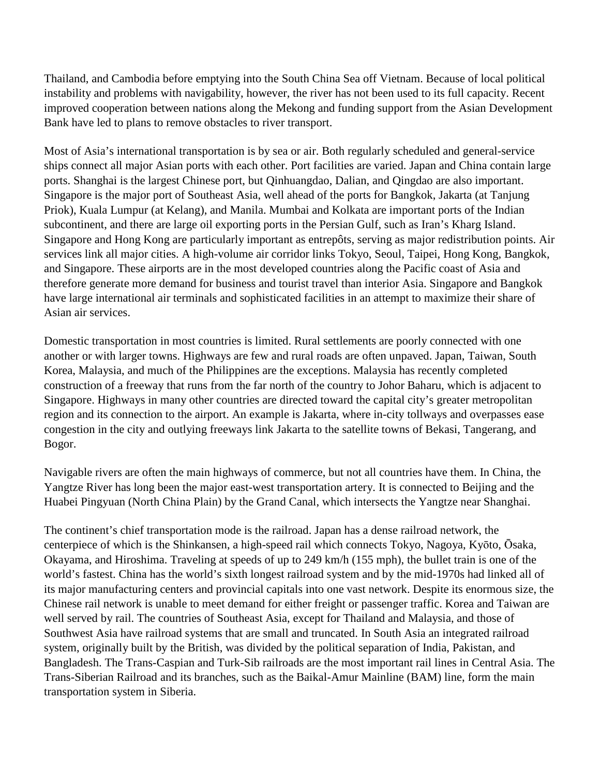Thailand, and Cambodia before emptying into the South China Sea off Vietnam. Because of local political instability and problems with navigability, however, the river has not been used to its full capacity. Recent improved cooperation between nations along the Mekong and funding support from the Asian Development Bank have led to plans to remove obstacles to river transport.

Most of Asia's international transportation is by sea or air. Both regularly scheduled and general-service ships connect all major Asian ports with each other. Port facilities are varied. Japan and China contain large ports. Shanghai is the largest Chinese port, but Qinhuangdao, Dalian, and Qingdao are also important. Singapore is the major port of Southeast Asia, well ahead of the ports for Bangkok, Jakarta (at Tanjung Priok), Kuala Lumpur (at Kelang), and Manila. Mumbai and Kolkata are important ports of the Indian subcontinent, and there are large oil exporting ports in the Persian Gulf, such as Iran's Kharg Island. Singapore and Hong Kong are particularly important as entrepôts, serving as major redistribution points. Air services link all major cities. A high-volume air corridor links Tokyo, Seoul, Taipei, Hong Kong, Bangkok, and Singapore. These airports are in the most developed countries along the Pacific coast of Asia and therefore generate more demand for business and tourist travel than interior Asia. Singapore and Bangkok have large international air terminals and sophisticated facilities in an attempt to maximize their share of Asian air services.

Domestic transportation in most countries is limited. Rural settlements are poorly connected with one another or with larger towns. Highways are few and rural roads are often unpaved. Japan, Taiwan, South Korea, Malaysia, and much of the Philippines are the exceptions. Malaysia has recently completed construction of a freeway that runs from the far north of the country to Johor Baharu, which is adjacent to Singapore. Highways in many other countries are directed toward the capital city's greater metropolitan region and its connection to the airport. An example is Jakarta, where in-city tollways and overpasses ease congestion in the city and outlying freeways link Jakarta to the satellite towns of Bekasi, Tangerang, and Bogor.

Navigable rivers are often the main highways of commerce, but not all countries have them. In China, the Yangtze River has long been the major east-west transportation artery. It is connected to Beijing and the Huabei Pingyuan (North China Plain) by the Grand Canal, which intersects the Yangtze near Shanghai.

The continent's chief transportation mode is the railroad. Japan has a dense railroad network, the centerpiece of which is the Shinkansen, a high-speed rail which connects Tokyo, Nagoya, Kyōto, Ōsaka, Okayama, and Hiroshima. Traveling at speeds of up to 249 km/h (155 mph), the bullet train is one of the world's fastest. China has the world's sixth longest railroad system and by the mid-1970s had linked all of its major manufacturing centers and provincial capitals into one vast network. Despite its enormous size, the Chinese rail network is unable to meet demand for either freight or passenger traffic. Korea and Taiwan are well served by rail. The countries of Southeast Asia, except for Thailand and Malaysia, and those of Southwest Asia have railroad systems that are small and truncated. In South Asia an integrated railroad system, originally built by the British, was divided by the political separation of India, Pakistan, and Bangladesh. The Trans-Caspian and Turk-Sib railroads are the most important rail lines in Central Asia. The Trans-Siberian Railroad and its branches, such as the Baikal-Amur Mainline (BAM) line, form the main transportation system in Siberia.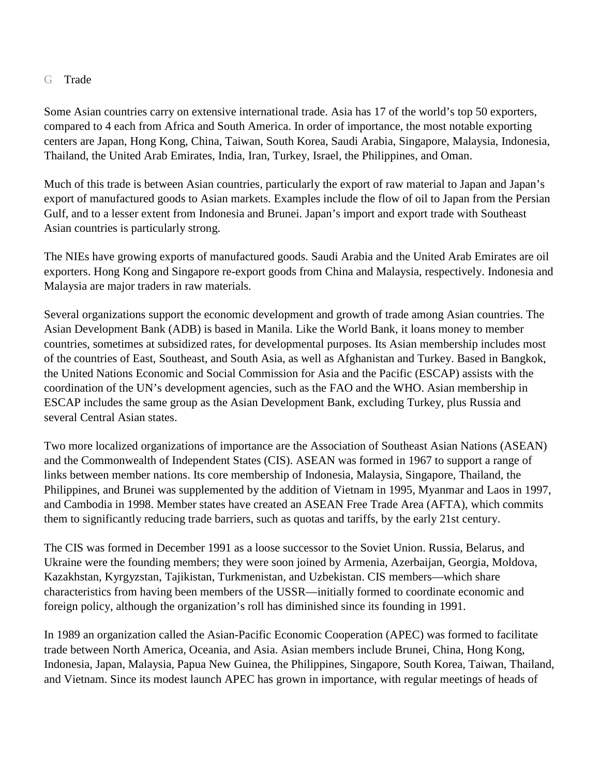#### G Trade

Some Asian countries carry on extensive international trade. Asia has 17 of the world's top 50 exporters, compared to 4 each from Africa and South America. In order of importance, the most notable exporting centers are Japan, Hong Kong, China, Taiwan, South Korea, Saudi Arabia, Singapore, Malaysia, Indonesia, Thailand, the United Arab Emirates, India, Iran, Turkey, Israel, the Philippines, and Oman.

Much of this trade is between Asian countries, particularly the export of raw material to Japan and Japan's export of manufactured goods to Asian markets. Examples include the flow of oil to Japan from the Persian Gulf, and to a lesser extent from Indonesia and Brunei. Japan's import and export trade with Southeast Asian countries is particularly strong.

The NIEs have growing exports of manufactured goods. Saudi Arabia and the United Arab Emirates are oil exporters. Hong Kong and Singapore re-export goods from China and Malaysia, respectively. Indonesia and Malaysia are major traders in raw materials.

Several organizations support the economic development and growth of trade among Asian countries. The Asian Development Bank (ADB) is based in Manila. Like the World Bank, it loans money to member countries, sometimes at subsidized rates, for developmental purposes. Its Asian membership includes most of the countries of East, Southeast, and South Asia, as well as Afghanistan and Turkey. Based in Bangkok, the United Nations Economic and Social Commission for Asia and the Pacific (ESCAP) assists with the coordination of the UN's development agencies, such as the FAO and the WHO. Asian membership in ESCAP includes the same group as the Asian Development Bank, excluding Turkey, plus Russia and several Central Asian states.

Two more localized organizations of importance are the Association of Southeast Asian Nations (ASEAN) and the Commonwealth of Independent States (CIS). ASEAN was formed in 1967 to support a range of links between member nations. Its core membership of Indonesia, Malaysia, Singapore, Thailand, the Philippines, and Brunei was supplemented by the addition of Vietnam in 1995, Myanmar and Laos in 1997, and Cambodia in 1998. Member states have created an ASEAN Free Trade Area (AFTA), which commits them to significantly reducing trade barriers, such as quotas and tariffs, by the early 21st century.

The CIS was formed in December 1991 as a loose successor to the Soviet Union. Russia, Belarus, and Ukraine were the founding members; they were soon joined by Armenia, Azerbaijan, Georgia, Moldova, Kazakhstan, Kyrgyzstan, Tajikistan, Turkmenistan, and Uzbekistan. CIS members—which share characteristics from having been members of the USSR—initially formed to coordinate economic and foreign policy, although the organization's roll has diminished since its founding in 1991.

In 1989 an organization called the Asian-Pacific Economic Cooperation (APEC) was formed to facilitate trade between North America, Oceania, and Asia. Asian members include Brunei, China, Hong Kong, Indonesia, Japan, Malaysia, Papua New Guinea, the Philippines, Singapore, South Korea, Taiwan, Thailand, and Vietnam. Since its modest launch APEC has grown in importance, with regular meetings of heads of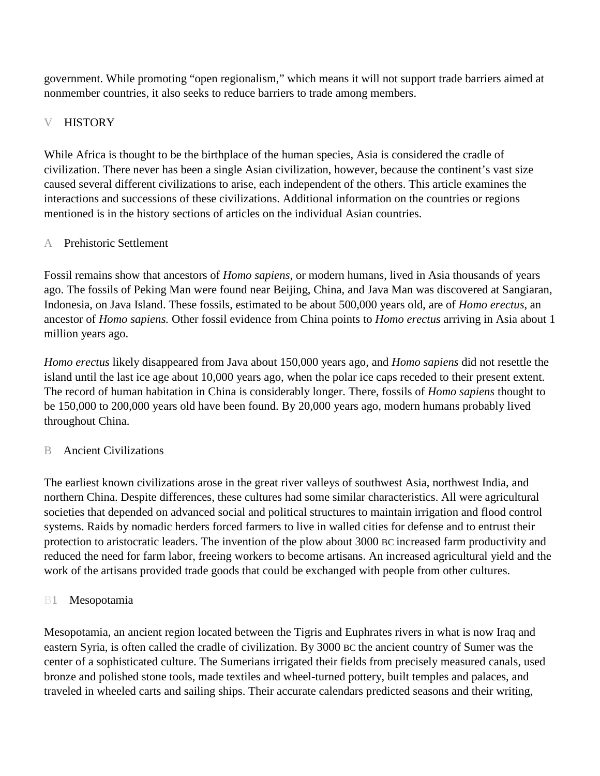government. While promoting "open regionalism," which means it will not support trade barriers aimed at nonmember countries, it also seeks to reduce barriers to trade among members.

# **HISTORY**

While Africa is thought to be the birthplace of the human species, Asia is considered the cradle of civilization. There never has been a single Asian civilization, however, because the continent's vast size caused several different civilizations to arise, each independent of the others. This article examines the interactions and successions of these civilizations. Additional information on the countries or regions mentioned is in the history sections of articles on the individual Asian countries.

## A Prehistoric Settlement

Fossil remains show that ancestors of *Homo sapiens,* or modern humans, lived in Asia thousands of years ago. The fossils of Peking Man were found near Beijing, China, and Java Man was discovered at Sangiaran, Indonesia, on Java Island. These fossils, estimated to be about 500,000 years old, are of *Homo erectus*, an ancestor of *Homo sapiens.* Other fossil evidence from China points to *Homo erectus* arriving in Asia about 1 million years ago.

*Homo erectus* likely disappeared from Java about 150,000 years ago, and *Homo sapiens* did not resettle the island until the last ice age about 10,000 years ago, when the polar ice caps receded to their present extent. The record of human habitation in China is considerably longer. There, fossils of *Homo sapiens* thought to be 150,000 to 200,000 years old have been found. By 20,000 years ago, modern humans probably lived throughout China.

## B Ancient Civilizations

The earliest known civilizations arose in the great river valleys of southwest Asia, northwest India, and northern China. Despite differences, these cultures had some similar characteristics. All were agricultural societies that depended on advanced social and political structures to maintain irrigation and flood control systems. Raids by nomadic herders forced farmers to live in walled cities for defense and to entrust their protection to aristocratic leaders. The invention of the plow about 3000 BC increased farm productivity and reduced the need for farm labor, freeing workers to become artisans. An increased agricultural yield and the work of the artisans provided trade goods that could be exchanged with people from other cultures.

## B1 Mesopotamia

Mesopotamia, an ancient region located between the Tigris and Euphrates rivers in what is now Iraq and eastern Syria, is often called the cradle of civilization. By 3000 BC the ancient country of Sumer was the center of a sophisticated culture. The Sumerians irrigated their fields from precisely measured canals, used bronze and polished stone tools, made textiles and wheel-turned pottery, built temples and palaces, and traveled in wheeled carts and sailing ships. Their accurate calendars predicted seasons and their writing,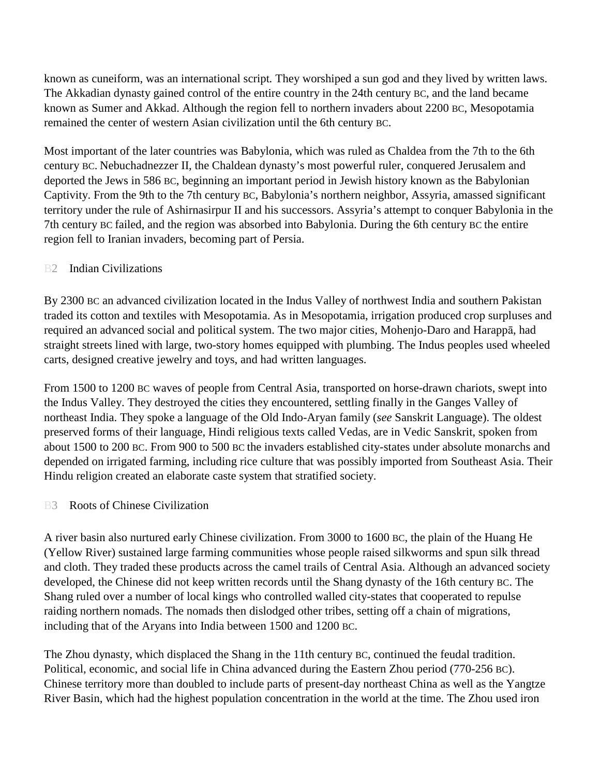known as cuneiform, was an international script*.* They worshiped a sun god and they lived by written laws. The Akkadian dynasty gained control of the entire country in the 24th century BC, and the land became known as Sumer and Akkad. Although the region fell to northern invaders about 2200 BC, Mesopotamia remained the center of western Asian civilization until the 6th century BC.

Most important of the later countries was Babylonia, which was ruled as Chaldea from the 7th to the 6th century BC. Nebuchadnezzer II, the Chaldean dynasty's most powerful ruler, conquered Jerusalem and deported the Jews in 586 BC, beginning an important period in Jewish history known as the Babylonian Captivity. From the 9th to the 7th century BC, Babylonia's northern neighbor, Assyria, amassed significant territory under the rule of Ashirnasirpur II and his successors. Assyria's attempt to conquer Babylonia in the 7th century BC failed, and the region was absorbed into Babylonia. During the 6th century BC the entire region fell to Iranian invaders, becoming part of Persia.

## **B2** Indian Civilizations

By 2300 BC an advanced civilization located in the Indus Valley of northwest India and southern Pakistan traded its cotton and textiles with Mesopotamia. As in Mesopotamia, irrigation produced crop surpluses and required an advanced social and political system. The two major cities, Mohenjo-Daro and Harappā, had straight streets lined with large, two-story homes equipped with plumbing. The Indus peoples used wheeled carts, designed creative jewelry and toys, and had written languages.

From 1500 to 1200 BC waves of people from Central Asia, transported on horse-drawn chariots, swept into the Indus Valley. They destroyed the cities they encountered, settling finally in the Ganges Valley of northeast India. They spoke a language of the Old Indo-Aryan family (*see* Sanskrit Language). The oldest preserved forms of their language, Hindi religious texts called Vedas, are in Vedic Sanskrit, spoken from about 1500 to 200 BC. From 900 to 500 BC the invaders established city-states under absolute monarchs and depended on irrigated farming, including rice culture that was possibly imported from Southeast Asia. Their Hindu religion created an elaborate caste system that stratified society.

#### B3 Roots of Chinese Civilization

A river basin also nurtured early Chinese civilization. From 3000 to 1600 BC, the plain of the Huang He (Yellow River) sustained large farming communities whose people raised silkworms and spun silk thread and cloth. They traded these products across the camel trails of Central Asia. Although an advanced society developed, the Chinese did not keep written records until the Shang dynasty of the 16th century BC. The Shang ruled over a number of local kings who controlled walled city-states that cooperated to repulse raiding northern nomads. The nomads then dislodged other tribes, setting off a chain of migrations, including that of the Aryans into India between 1500 and 1200 BC.

The Zhou dynasty, which displaced the Shang in the 11th century BC, continued the feudal tradition. Political, economic, and social life in China advanced during the Eastern Zhou period (770-256 BC). Chinese territory more than doubled to include parts of present-day northeast China as well as the Yangtze River Basin, which had the highest population concentration in the world at the time. The Zhou used iron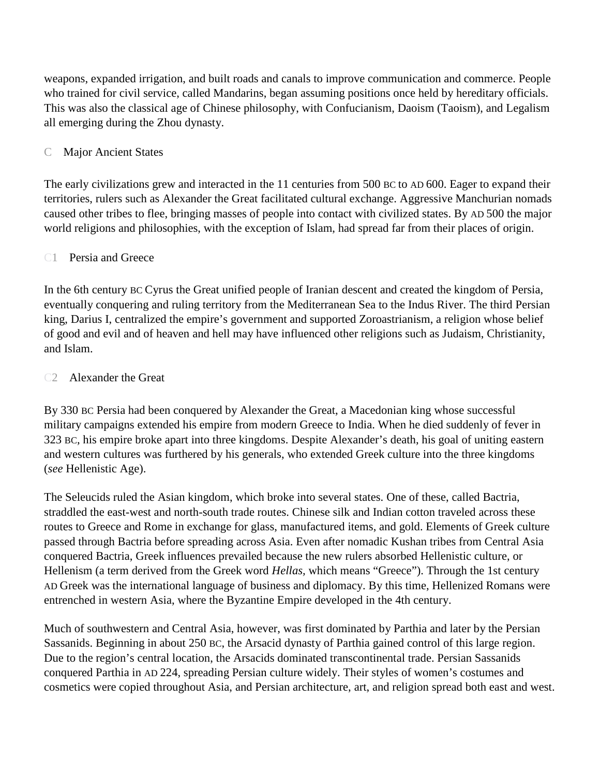weapons, expanded irrigation, and built roads and canals to improve communication and commerce. People who trained for civil service, called Mandarins, began assuming positions once held by hereditary officials. This was also the classical age of Chinese philosophy, with Confucianism, Daoism (Taoism), and Legalism all emerging during the Zhou dynasty.

## C Major Ancient States

The early civilizations grew and interacted in the 11 centuries from 500 BC to AD 600. Eager to expand their territories, rulers such as Alexander the Great facilitated cultural exchange. Aggressive Manchurian nomads caused other tribes to flee, bringing masses of people into contact with civilized states. By AD 500 the major world religions and philosophies, with the exception of Islam, had spread far from their places of origin.

## C1 Persia and Greece

In the 6th century BC Cyrus the Great unified people of Iranian descent and created the kingdom of Persia, eventually conquering and ruling territory from the Mediterranean Sea to the Indus River. The third Persian king, Darius I, centralized the empire's government and supported Zoroastrianism, a religion whose belief of good and evil and of heaven and hell may have influenced other religions such as Judaism, Christianity, and Islam.

## C2 Alexander the Great

By 330 BC Persia had been conquered by Alexander the Great, a Macedonian king whose successful military campaigns extended his empire from modern Greece to India. When he died suddenly of fever in 323 BC, his empire broke apart into three kingdoms. Despite Alexander's death, his goal of uniting eastern and western cultures was furthered by his generals, who extended Greek culture into the three kingdoms (*see* Hellenistic Age).

The Seleucids ruled the Asian kingdom, which broke into several states. One of these, called Bactria, straddled the east-west and north-south trade routes. Chinese silk and Indian cotton traveled across these routes to Greece and Rome in exchange for glass, manufactured items, and gold. Elements of Greek culture passed through Bactria before spreading across Asia. Even after nomadic Kushan tribes from Central Asia conquered Bactria, Greek influences prevailed because the new rulers absorbed Hellenistic culture, or Hellenism (a term derived from the Greek word *Hellas,* which means "Greece"). Through the 1st century AD Greek was the international language of business and diplomacy. By this time, Hellenized Romans were entrenched in western Asia, where the Byzantine Empire developed in the 4th century.

Much of southwestern and Central Asia, however, was first dominated by Parthia and later by the Persian Sassanids. Beginning in about 250 BC, the Arsacid dynasty of Parthia gained control of this large region. Due to the region's central location, the Arsacids dominated transcontinental trade. Persian Sassanids conquered Parthia in AD 224, spreading Persian culture widely. Their styles of women's costumes and cosmetics were copied throughout Asia, and Persian architecture, art, and religion spread both east and west.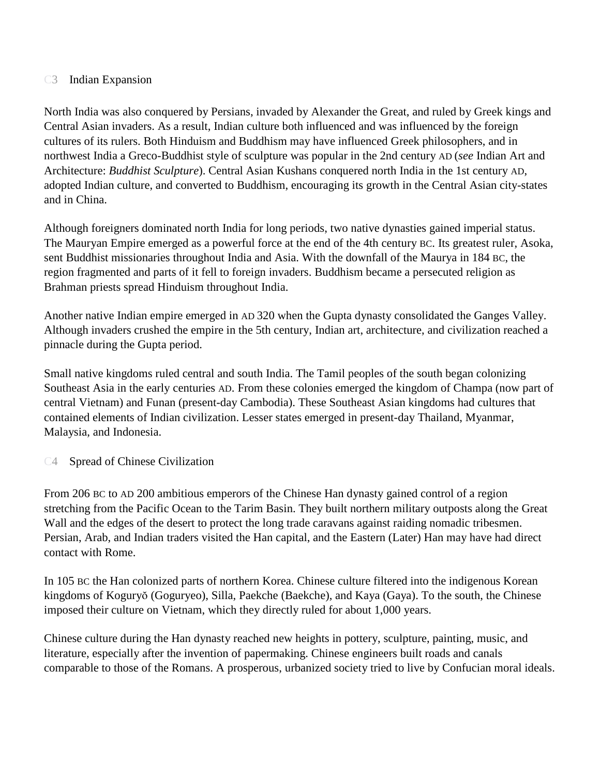## C<sub>3</sub> Indian Expansion

North India was also conquered by Persians, invaded by Alexander the Great, and ruled by Greek kings and Central Asian invaders. As a result, Indian culture both influenced and was influenced by the foreign cultures of its rulers. Both Hinduism and Buddhism may have influenced Greek philosophers, and in northwest India a Greco-Buddhist style of sculpture was popular in the 2nd century AD (*see* Indian Art and Architecture: *Buddhist Sculpture*). Central Asian Kushans conquered north India in the 1st century AD, adopted Indian culture, and converted to Buddhism, encouraging its growth in the Central Asian city-states and in China.

Although foreigners dominated north India for long periods, two native dynasties gained imperial status. The Mauryan Empire emerged as a powerful force at the end of the 4th century BC. Its greatest ruler, Asoka, sent Buddhist missionaries throughout India and Asia. With the downfall of the Maurya in 184 BC, the region fragmented and parts of it fell to foreign invaders. Buddhism became a persecuted religion as Brahman priests spread Hinduism throughout India.

Another native Indian empire emerged in AD 320 when the Gupta dynasty consolidated the Ganges Valley. Although invaders crushed the empire in the 5th century, Indian art, architecture, and civilization reached a pinnacle during the Gupta period.

Small native kingdoms ruled central and south India. The Tamil peoples of the south began colonizing Southeast Asia in the early centuries AD. From these colonies emerged the kingdom of Champa (now part of central Vietnam) and Funan (present-day Cambodia). These Southeast Asian kingdoms had cultures that contained elements of Indian civilization. Lesser states emerged in present-day Thailand, Myanmar, Malaysia, and Indonesia.

## C4 Spread of Chinese Civilization

From 206 BC to AD 200 ambitious emperors of the Chinese Han dynasty gained control of a region stretching from the Pacific Ocean to the Tarim Basin. They built northern military outposts along the Great Wall and the edges of the desert to protect the long trade caravans against raiding nomadic tribesmen. Persian, Arab, and Indian traders visited the Han capital, and the Eastern (Later) Han may have had direct contact with Rome.

In 105 BC the Han colonized parts of northern Korea. Chinese culture filtered into the indigenous Korean kingdoms of Koguryŏ (Goguryeo), Silla, Paekche (Baekche), and Kaya (Gaya). To the south, the Chinese imposed their culture on Vietnam, which they directly ruled for about 1,000 years.

Chinese culture during the Han dynasty reached new heights in pottery, sculpture, painting, music, and literature, especially after the invention of papermaking. Chinese engineers built roads and canals comparable to those of the Romans. A prosperous, urbanized society tried to live by Confucian moral ideals.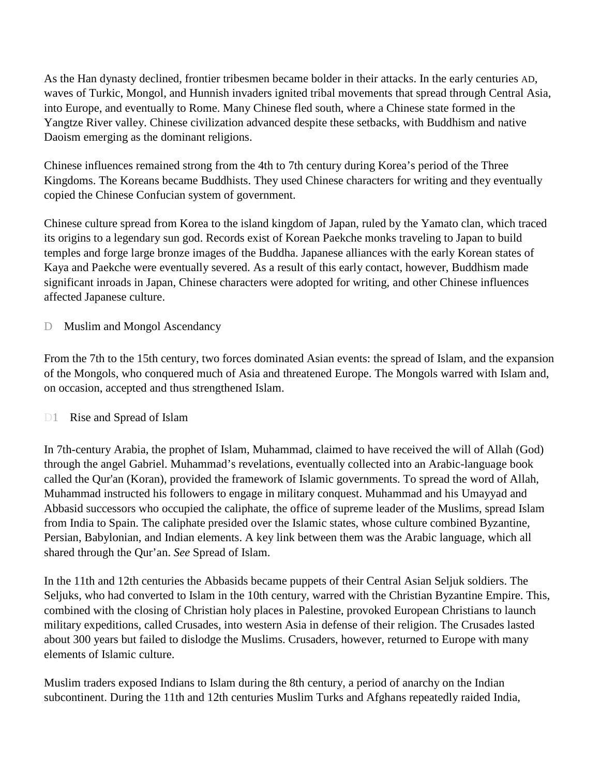As the Han dynasty declined, frontier tribesmen became bolder in their attacks. In the early centuries AD, waves of Turkic, Mongol, and Hunnish invaders ignited tribal movements that spread through Central Asia, into Europe, and eventually to Rome. Many Chinese fled south, where a Chinese state formed in the Yangtze River valley. Chinese civilization advanced despite these setbacks, with Buddhism and native Daoism emerging as the dominant religions.

Chinese influences remained strong from the 4th to 7th century during Korea's period of the Three Kingdoms. The Koreans became Buddhists. They used Chinese characters for writing and they eventually copied the Chinese Confucian system of government.

Chinese culture spread from Korea to the island kingdom of Japan, ruled by the Yamato clan, which traced its origins to a legendary sun god. Records exist of Korean Paekche monks traveling to Japan to build temples and forge large bronze images of the Buddha. Japanese alliances with the early Korean states of Kaya and Paekche were eventually severed. As a result of this early contact, however, Buddhism made significant inroads in Japan, Chinese characters were adopted for writing, and other Chinese influences affected Japanese culture.

D Muslim and Mongol Ascendancy

From the 7th to the 15th century, two forces dominated Asian events: the spread of Islam, and the expansion of the Mongols, who conquered much of Asia and threatened Europe. The Mongols warred with Islam and, on occasion, accepted and thus strengthened Islam.

# D1 Rise and Spread of Islam

In 7th-century Arabia, the prophet of Islam, Muhammad, claimed to have received the will of Allah (God) through the angel Gabriel. Muhammad's revelations, eventually collected into an Arabic-language book called the Qur'an (Koran), provided the framework of Islamic governments. To spread the word of Allah, Muhammad instructed his followers to engage in military conquest. Muhammad and his Umayyad and Abbasid successors who occupied the caliphate, the office of supreme leader of the Muslims, spread Islam from India to Spain. The caliphate presided over the Islamic states, whose culture combined Byzantine, Persian, Babylonian, and Indian elements. A key link between them was the Arabic language, which all shared through the Qur'an. *See* Spread of Islam.

In the 11th and 12th centuries the Abbasids became puppets of their Central Asian Seljuk soldiers. The Seljuks, who had converted to Islam in the 10th century, warred with the Christian Byzantine Empire. This, combined with the closing of Christian holy places in Palestine, provoked European Christians to launch military expeditions, called Crusades, into western Asia in defense of their religion. The Crusades lasted about 300 years but failed to dislodge the Muslims. Crusaders, however, returned to Europe with many elements of Islamic culture.

Muslim traders exposed Indians to Islam during the 8th century, a period of anarchy on the Indian subcontinent. During the 11th and 12th centuries Muslim Turks and Afghans repeatedly raided India,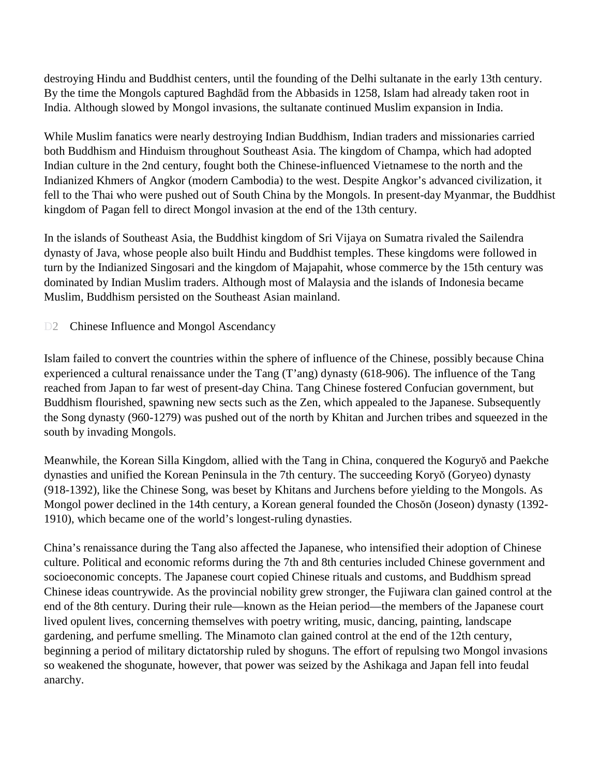destroying Hindu and Buddhist centers, until the founding of the Delhi sultanate in the early 13th century. By the time the Mongols captured Baghdād from the Abbasids in 1258, Islam had already taken root in India. Although slowed by Mongol invasions, the sultanate continued Muslim expansion in India.

While Muslim fanatics were nearly destroying Indian Buddhism, Indian traders and missionaries carried both Buddhism and Hinduism throughout Southeast Asia. The kingdom of Champa, which had adopted Indian culture in the 2nd century, fought both the Chinese-influenced Vietnamese to the north and the Indianized Khmers of Angkor (modern Cambodia) to the west. Despite Angkor's advanced civilization, it fell to the Thai who were pushed out of South China by the Mongols. In present-day Myanmar, the Buddhist kingdom of Pagan fell to direct Mongol invasion at the end of the 13th century.

In the islands of Southeast Asia, the Buddhist kingdom of Sri Vijaya on Sumatra rivaled the Sailendra dynasty of Java, whose people also built Hindu and Buddhist temples. These kingdoms were followed in turn by the Indianized Singosari and the kingdom of Majapahit, whose commerce by the 15th century was dominated by Indian Muslim traders. Although most of Malaysia and the islands of Indonesia became Muslim, Buddhism persisted on the Southeast Asian mainland.

D<sub>2</sub> Chinese Influence and Mongol Ascendancy

Islam failed to convert the countries within the sphere of influence of the Chinese, possibly because China experienced a cultural renaissance under the Tang (T'ang) dynasty (618-906). The influence of the Tang reached from Japan to far west of present-day China. Tang Chinese fostered Confucian government, but Buddhism flourished, spawning new sects such as the Zen, which appealed to the Japanese. Subsequently the Song dynasty (960-1279) was pushed out of the north by Khitan and Jurchen tribes and squeezed in the south by invading Mongols.

Meanwhile, the Korean Silla Kingdom, allied with the Tang in China, conquered the Koguryŏ and Paekche dynasties and unified the Korean Peninsula in the 7th century. The succeeding Koryŏ (Goryeo) dynasty (918-1392), like the Chinese Song, was beset by Khitans and Jurchens before yielding to the Mongols. As Mongol power declined in the 14th century, a Korean general founded the Chosŏn (Joseon) dynasty (1392- 1910), which became one of the world's longest-ruling dynasties.

China's renaissance during the Tang also affected the Japanese, who intensified their adoption of Chinese culture. Political and economic reforms during the 7th and 8th centuries included Chinese government and socioeconomic concepts. The Japanese court copied Chinese rituals and customs, and Buddhism spread Chinese ideas countrywide. As the provincial nobility grew stronger, the Fujiwara clan gained control at the end of the 8th century. During their rule—known as the Heian period—the members of the Japanese court lived opulent lives, concerning themselves with poetry writing, music, dancing, painting, landscape gardening, and perfume smelling. The Minamoto clan gained control at the end of the 12th century, beginning a period of military dictatorship ruled by shoguns. The effort of repulsing two Mongol invasions so weakened the shogunate, however, that power was seized by the Ashikaga and Japan fell into feudal anarchy.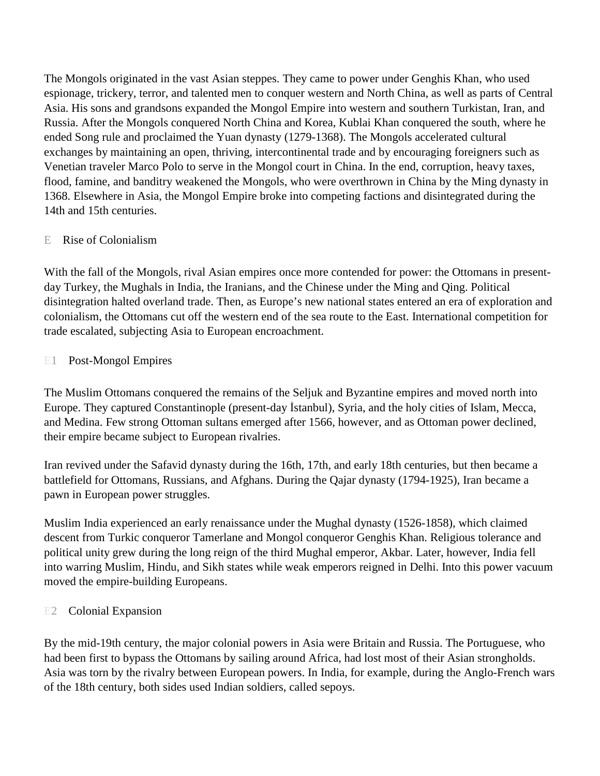The Mongols originated in the vast Asian steppes. They came to power under Genghis Khan, who used espionage, trickery, terror, and talented men to conquer western and North China, as well as parts of Central Asia. His sons and grandsons expanded the Mongol Empire into western and southern Turkistan, Iran, and Russia. After the Mongols conquered North China and Korea, Kublai Khan conquered the south, where he ended Song rule and proclaimed the Yuan dynasty (1279-1368). The Mongols accelerated cultural exchanges by maintaining an open, thriving, intercontinental trade and by encouraging foreigners such as Venetian traveler Marco Polo to serve in the Mongol court in China. In the end, corruption, heavy taxes, flood, famine, and banditry weakened the Mongols, who were overthrown in China by the Ming dynasty in 1368. Elsewhere in Asia, the Mongol Empire broke into competing factions and disintegrated during the 14th and 15th centuries.

## E Rise of Colonialism

With the fall of the Mongols, rival Asian empires once more contended for power: the Ottomans in presentday Turkey, the Mughals in India, the Iranians, and the Chinese under the Ming and Qing. Political disintegration halted overland trade. Then, as Europe's new national states entered an era of exploration and colonialism, the Ottomans cut off the western end of the sea route to the East. International competition for trade escalated, subjecting Asia to European encroachment.

## E1 Post-Mongol Empires

The Muslim Ottomans conquered the remains of the Seljuk and Byzantine empires and moved north into Europe. They captured Constantinople (present-day Istanbul), Syria, and the holy cities of Islam, Mecca, and Medina. Few strong Ottoman sultans emerged after 1566, however, and as Ottoman power declined, their empire became subject to European rivalries.

Iran revived under the Safavid dynasty during the 16th, 17th, and early 18th centuries, but then became a battlefield for Ottomans, Russians, and Afghans. During the Qajar dynasty (1794-1925), Iran became a pawn in European power struggles.

Muslim India experienced an early renaissance under the Mughal dynasty (1526-1858), which claimed descent from Turkic conqueror Tamerlane and Mongol conqueror Genghis Khan. Religious tolerance and political unity grew during the long reign of the third Mughal emperor, Akbar. Later, however, India fell into warring Muslim, Hindu, and Sikh states while weak emperors reigned in Delhi. Into this power vacuum moved the empire-building Europeans.

# E<sub>2</sub> Colonial Expansion

By the mid-19th century, the major colonial powers in Asia were Britain and Russia. The Portuguese, who had been first to bypass the Ottomans by sailing around Africa, had lost most of their Asian strongholds. Asia was torn by the rivalry between European powers. In India, for example, during the Anglo-French wars of the 18th century, both sides used Indian soldiers, called sepoys.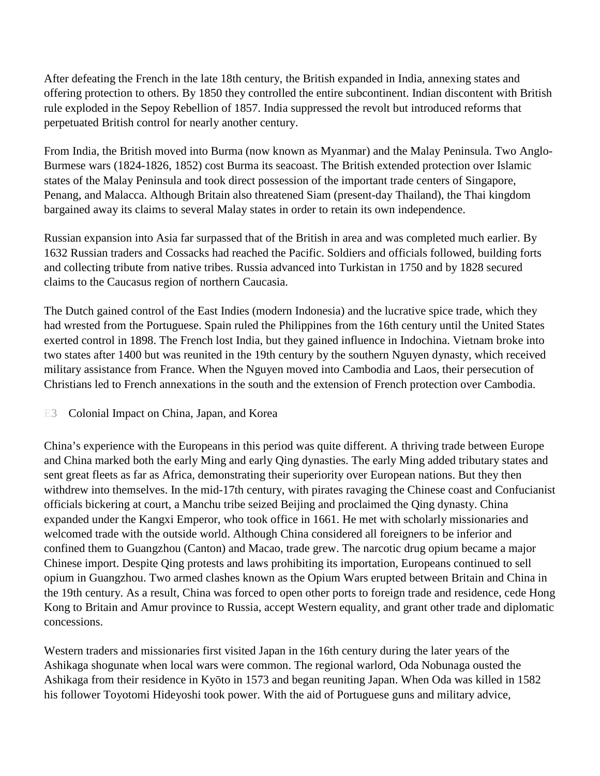After defeating the French in the late 18th century, the British expanded in India, annexing states and offering protection to others. By 1850 they controlled the entire subcontinent. Indian discontent with British rule exploded in the Sepoy Rebellion of 1857. India suppressed the revolt but introduced reforms that perpetuated British control for nearly another century.

From India, the British moved into Burma (now known as Myanmar) and the Malay Peninsula. Two Anglo-Burmese wars (1824-1826, 1852) cost Burma its seacoast. The British extended protection over Islamic states of the Malay Peninsula and took direct possession of the important trade centers of Singapore, Penang, and Malacca. Although Britain also threatened Siam (present-day Thailand), the Thai kingdom bargained away its claims to several Malay states in order to retain its own independence.

Russian expansion into Asia far surpassed that of the British in area and was completed much earlier. By 1632 Russian traders and Cossacks had reached the Pacific. Soldiers and officials followed, building forts and collecting tribute from native tribes. Russia advanced into Turkistan in 1750 and by 1828 secured claims to the Caucasus region of northern Caucasia.

The Dutch gained control of the East Indies (modern Indonesia) and the lucrative spice trade, which they had wrested from the Portuguese. Spain ruled the Philippines from the 16th century until the United States exerted control in 1898. The French lost India, but they gained influence in Indochina. Vietnam broke into two states after 1400 but was reunited in the 19th century by the southern Nguyen dynasty, which received military assistance from France. When the Nguyen moved into Cambodia and Laos, their persecution of Christians led to French annexations in the south and the extension of French protection over Cambodia.

## E3 Colonial Impact on China, Japan, and Korea

China's experience with the Europeans in this period was quite different. A thriving trade between Europe and China marked both the early Ming and early Qing dynasties. The early Ming added tributary states and sent great fleets as far as Africa, demonstrating their superiority over European nations. But they then withdrew into themselves. In the mid-17th century, with pirates ravaging the Chinese coast and Confucianist officials bickering at court, a Manchu tribe seized Beijing and proclaimed the Qing dynasty. China expanded under the Kangxi Emperor, who took office in 1661. He met with scholarly missionaries and welcomed trade with the outside world. Although China considered all foreigners to be inferior and confined them to Guangzhou (Canton) and Macao, trade grew. The narcotic drug opium became a major Chinese import. Despite Qing protests and laws prohibiting its importation, Europeans continued to sell opium in Guangzhou. Two armed clashes known as the Opium Wars erupted between Britain and China in the 19th century. As a result, China was forced to open other ports to foreign trade and residence, cede Hong Kong to Britain and Amur province to Russia, accept Western equality, and grant other trade and diplomatic concessions.

Western traders and missionaries first visited Japan in the 16th century during the later years of the Ashikaga shogunate when local wars were common. The regional warlord, Oda Nobunaga ousted the Ashikaga from their residence in Kyōto in 1573 and began reuniting Japan. When Oda was killed in 1582 his follower Toyotomi Hideyoshi took power. With the aid of Portuguese guns and military advice,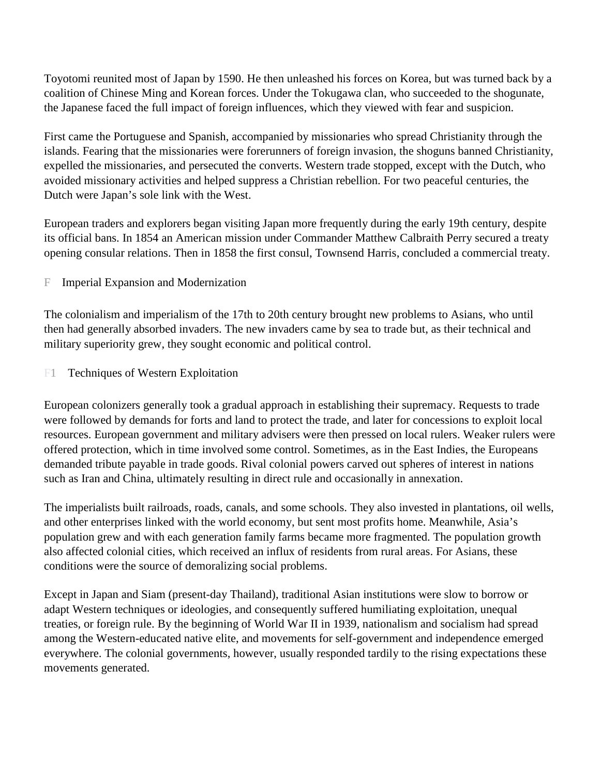Toyotomi reunited most of Japan by 1590. He then unleashed his forces on Korea, but was turned back by a coalition of Chinese Ming and Korean forces. Under the Tokugawa clan, who succeeded to the shogunate, the Japanese faced the full impact of foreign influences, which they viewed with fear and suspicion.

First came the Portuguese and Spanish, accompanied by missionaries who spread Christianity through the islands. Fearing that the missionaries were forerunners of foreign invasion, the shoguns banned Christianity, expelled the missionaries, and persecuted the converts. Western trade stopped, except with the Dutch, who avoided missionary activities and helped suppress a Christian rebellion. For two peaceful centuries, the Dutch were Japan's sole link with the West.

European traders and explorers began visiting Japan more frequently during the early 19th century, despite its official bans. In 1854 an American mission under Commander Matthew Calbraith Perry secured a treaty opening consular relations. Then in 1858 the first consul, Townsend Harris, concluded a commercial treaty.

F Imperial Expansion and Modernization

The colonialism and imperialism of the 17th to 20th century brought new problems to Asians, who until then had generally absorbed invaders. The new invaders came by sea to trade but, as their technical and military superiority grew, they sought economic and political control.

F1 Techniques of Western Exploitation

European colonizers generally took a gradual approach in establishing their supremacy. Requests to trade were followed by demands for forts and land to protect the trade, and later for concessions to exploit local resources. European government and military advisers were then pressed on local rulers. Weaker rulers were offered protection, which in time involved some control. Sometimes, as in the East Indies, the Europeans demanded tribute payable in trade goods. Rival colonial powers carved out spheres of interest in nations such as Iran and China, ultimately resulting in direct rule and occasionally in annexation.

The imperialists built railroads, roads, canals, and some schools. They also invested in plantations, oil wells, and other enterprises linked with the world economy, but sent most profits home. Meanwhile, Asia's population grew and with each generation family farms became more fragmented. The population growth also affected colonial cities, which received an influx of residents from rural areas. For Asians, these conditions were the source of demoralizing social problems.

Except in Japan and Siam (present-day Thailand), traditional Asian institutions were slow to borrow or adapt Western techniques or ideologies, and consequently suffered humiliating exploitation, unequal treaties, or foreign rule. By the beginning of World War II in 1939, nationalism and socialism had spread among the Western-educated native elite, and movements for self-government and independence emerged everywhere. The colonial governments, however, usually responded tardily to the rising expectations these movements generated.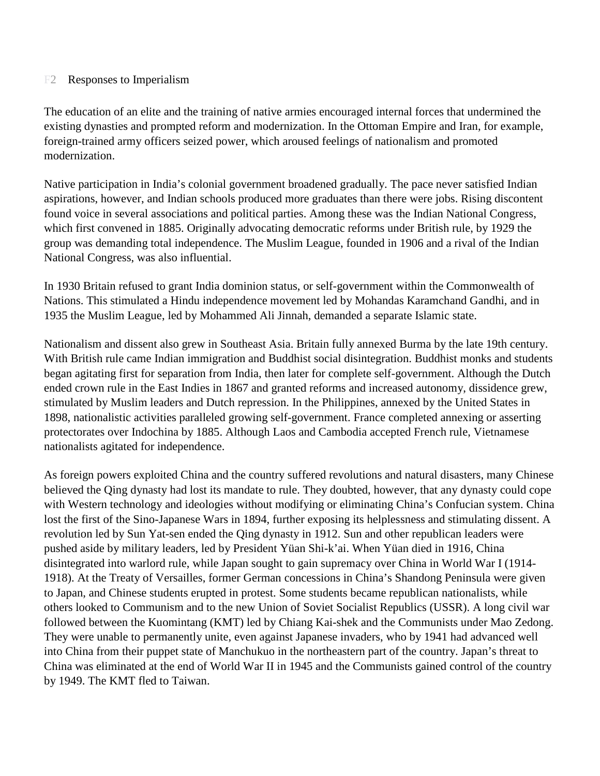#### F2 Responses to Imperialism

The education of an elite and the training of native armies encouraged internal forces that undermined the existing dynasties and prompted reform and modernization. In the Ottoman Empire and Iran, for example, foreign-trained army officers seized power, which aroused feelings of nationalism and promoted modernization.

Native participation in India's colonial government broadened gradually. The pace never satisfied Indian aspirations, however, and Indian schools produced more graduates than there were jobs. Rising discontent found voice in several associations and political parties. Among these was the Indian National Congress, which first convened in 1885. Originally advocating democratic reforms under British rule, by 1929 the group was demanding total independence. The Muslim League, founded in 1906 and a rival of the Indian National Congress, was also influential.

In 1930 Britain refused to grant India dominion status, or self-government within the Commonwealth of Nations. This stimulated a Hindu independence movement led by Mohandas Karamchand Gandhi, and in 1935 the Muslim League, led by Mohammed Ali Jinnah, demanded a separate Islamic state.

Nationalism and dissent also grew in Southeast Asia. Britain fully annexed Burma by the late 19th century. With British rule came Indian immigration and Buddhist social disintegration. Buddhist monks and students began agitating first for separation from India, then later for complete self-government. Although the Dutch ended crown rule in the East Indies in 1867 and granted reforms and increased autonomy, dissidence grew, stimulated by Muslim leaders and Dutch repression. In the Philippines, annexed by the United States in 1898, nationalistic activities paralleled growing self-government. France completed annexing or asserting protectorates over Indochina by 1885. Although Laos and Cambodia accepted French rule, Vietnamese nationalists agitated for independence.

As foreign powers exploited China and the country suffered revolutions and natural disasters, many Chinese believed the Qing dynasty had lost its mandate to rule. They doubted, however, that any dynasty could cope with Western technology and ideologies without modifying or eliminating China's Confucian system. China lost the first of the Sino-Japanese Wars in 1894, further exposing its helplessness and stimulating dissent. A revolution led by Sun Yat-sen ended the Qing dynasty in 1912. Sun and other republican leaders were pushed aside by military leaders, led by President Yüan Shi-k'ai. When Yüan died in 1916, China disintegrated into warlord rule, while Japan sought to gain supremacy over China in World War I (1914- 1918). At the Treaty of Versailles, former German concessions in China's Shandong Peninsula were given to Japan, and Chinese students erupted in protest. Some students became republican nationalists, while others looked to Communism and to the new Union of Soviet Socialist Republics (USSR). A long civil war followed between the Kuomintang (KMT) led by Chiang Kai-shek and the Communists under Mao Zedong. They were unable to permanently unite, even against Japanese invaders, who by 1941 had advanced well into China from their puppet state of Manchukuo in the northeastern part of the country. Japan's threat to China was eliminated at the end of World War II in 1945 and the Communists gained control of the country by 1949. The KMT fled to Taiwan.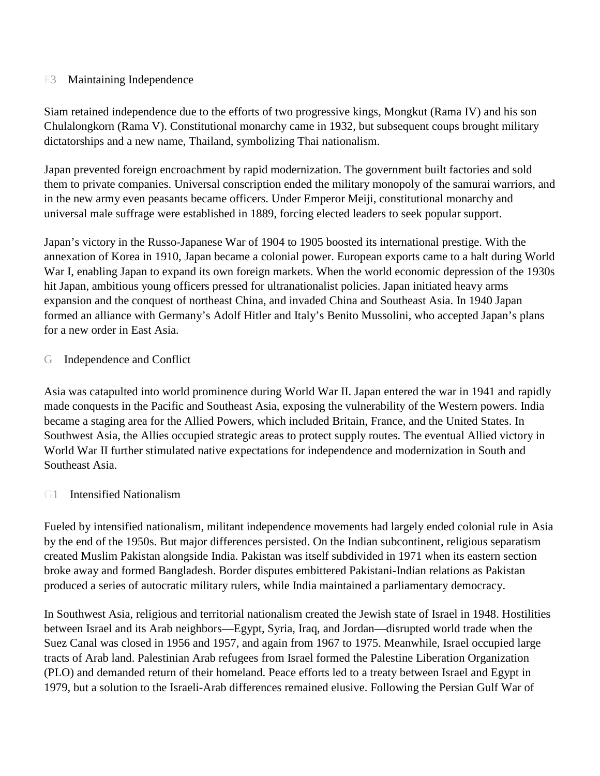#### F3 Maintaining Independence

Siam retained independence due to the efforts of two progressive kings, Mongkut (Rama IV) and his son Chulalongkorn (Rama V). Constitutional monarchy came in 1932, but subsequent coups brought military dictatorships and a new name, Thailand, symbolizing Thai nationalism.

Japan prevented foreign encroachment by rapid modernization. The government built factories and sold them to private companies. Universal conscription ended the military monopoly of the samurai warriors, and in the new army even peasants became officers. Under Emperor Meiji, constitutional monarchy and universal male suffrage were established in 1889, forcing elected leaders to seek popular support.

Japan's victory in the Russo-Japanese War of 1904 to 1905 boosted its international prestige. With the annexation of Korea in 1910, Japan became a colonial power. European exports came to a halt during World War I, enabling Japan to expand its own foreign markets. When the world economic depression of the 1930s hit Japan, ambitious young officers pressed for ultranationalist policies. Japan initiated heavy arms expansion and the conquest of northeast China, and invaded China and Southeast Asia. In 1940 Japan formed an alliance with Germany's Adolf Hitler and Italy's Benito Mussolini, who accepted Japan's plans for a new order in East Asia.

#### G Independence and Conflict

Asia was catapulted into world prominence during World War II. Japan entered the war in 1941 and rapidly made conquests in the Pacific and Southeast Asia, exposing the vulnerability of the Western powers. India became a staging area for the Allied Powers, which included Britain, France, and the United States. In Southwest Asia, the Allies occupied strategic areas to protect supply routes. The eventual Allied victory in World War II further stimulated native expectations for independence and modernization in South and Southeast Asia.

#### G1 Intensified Nationalism

Fueled by intensified nationalism, militant independence movements had largely ended colonial rule in Asia by the end of the 1950s. But major differences persisted. On the Indian subcontinent, religious separatism created Muslim Pakistan alongside India. Pakistan was itself subdivided in 1971 when its eastern section broke away and formed Bangladesh. Border disputes embittered Pakistani-Indian relations as Pakistan produced a series of autocratic military rulers, while India maintained a parliamentary democracy.

In Southwest Asia, religious and territorial nationalism created the Jewish state of Israel in 1948. Hostilities between Israel and its Arab neighbors—Egypt, Syria, Iraq, and Jordan—disrupted world trade when the Suez Canal was closed in 1956 and 1957, and again from 1967 to 1975. Meanwhile, Israel occupied large tracts of Arab land. Palestinian Arab refugees from Israel formed the Palestine Liberation Organization (PLO) and demanded return of their homeland. Peace efforts led to a treaty between Israel and Egypt in 1979, but a solution to the Israeli-Arab differences remained elusive. Following the Persian Gulf War of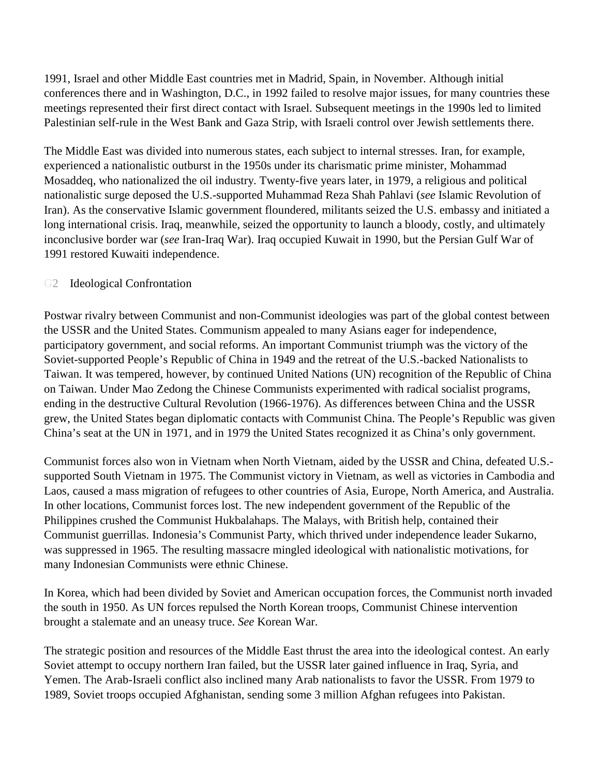1991, Israel and other Middle East countries met in Madrid, Spain, in November. Although initial conferences there and in Washington, D.C., in 1992 failed to resolve major issues, for many countries these meetings represented their first direct contact with Israel. Subsequent meetings in the 1990s led to limited Palestinian self-rule in the West Bank and Gaza Strip, with Israeli control over Jewish settlements there.

The Middle East was divided into numerous states, each subject to internal stresses. Iran, for example, experienced a nationalistic outburst in the 1950s under its charismatic prime minister, Mohammad Mosaddeq, who nationalized the oil industry. Twenty-five years later, in 1979, a religious and political nationalistic surge deposed the U.S.-supported Muhammad Reza Shah Pahlavi (*see* Islamic Revolution of Iran). As the conservative Islamic government floundered, militants seized the U.S. embassy and initiated a long international crisis. Iraq, meanwhile, seized the opportunity to launch a bloody, costly, and ultimately inconclusive border war (*see* Iran-Iraq War). Iraq occupied Kuwait in 1990, but the Persian Gulf War of 1991 restored Kuwaiti independence.

## G2 Ideological Confrontation

Postwar rivalry between Communist and non-Communist ideologies was part of the global contest between the USSR and the United States. Communism appealed to many Asians eager for independence, participatory government, and social reforms. An important Communist triumph was the victory of the Soviet-supported People's Republic of China in 1949 and the retreat of the U.S.-backed Nationalists to Taiwan. It was tempered, however, by continued United Nations (UN) recognition of the Republic of China on Taiwan. Under Mao Zedong the Chinese Communists experimented with radical socialist programs, ending in the destructive Cultural Revolution (1966-1976). As differences between China and the USSR grew, the United States began diplomatic contacts with Communist China. The People's Republic was given China's seat at the UN in 1971, and in 1979 the United States recognized it as China's only government.

Communist forces also won in Vietnam when North Vietnam, aided by the USSR and China, defeated U.S. supported South Vietnam in 1975. The Communist victory in Vietnam, as well as victories in Cambodia and Laos, caused a mass migration of refugees to other countries of Asia, Europe, North America, and Australia. In other locations, Communist forces lost. The new independent government of the Republic of the Philippines crushed the Communist Hukbalahaps. The Malays, with British help, contained their Communist guerrillas. Indonesia's Communist Party, which thrived under independence leader Sukarno, was suppressed in 1965. The resulting massacre mingled ideological with nationalistic motivations, for many Indonesian Communists were ethnic Chinese.

In Korea, which had been divided by Soviet and American occupation forces, the Communist north invaded the south in 1950. As UN forces repulsed the North Korean troops, Communist Chinese intervention brought a stalemate and an uneasy truce. *See* Korean War.

The strategic position and resources of the Middle East thrust the area into the ideological contest. An early Soviet attempt to occupy northern Iran failed, but the USSR later gained influence in Iraq, Syria, and Yemen. The Arab-Israeli conflict also inclined many Arab nationalists to favor the USSR. From 1979 to 1989, Soviet troops occupied Afghanistan, sending some 3 million Afghan refugees into Pakistan.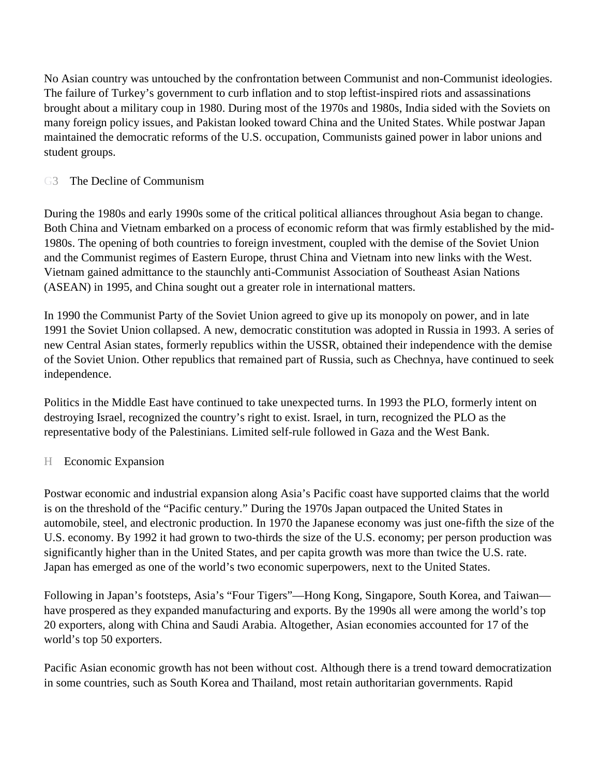No Asian country was untouched by the confrontation between Communist and non-Communist ideologies. The failure of Turkey's government to curb inflation and to stop leftist-inspired riots and assassinations brought about a military coup in 1980. During most of the 1970s and 1980s, India sided with the Soviets on many foreign policy issues, and Pakistan looked toward China and the United States. While postwar Japan maintained the democratic reforms of the U.S. occupation, Communists gained power in labor unions and student groups.

## G3 The Decline of Communism

During the 1980s and early 1990s some of the critical political alliances throughout Asia began to change. Both China and Vietnam embarked on a process of economic reform that was firmly established by the mid-1980s. The opening of both countries to foreign investment, coupled with the demise of the Soviet Union and the Communist regimes of Eastern Europe, thrust China and Vietnam into new links with the West. Vietnam gained admittance to the staunchly anti-Communist Association of Southeast Asian Nations (ASEAN) in 1995, and China sought out a greater role in international matters.

In 1990 the Communist Party of the Soviet Union agreed to give up its monopoly on power, and in late 1991 the Soviet Union collapsed. A new, democratic constitution was adopted in Russia in 1993. A series of new Central Asian states, formerly republics within the USSR, obtained their independence with the demise of the Soviet Union. Other republics that remained part of Russia, such as Chechnya, have continued to seek independence.

Politics in the Middle East have continued to take unexpected turns. In 1993 the PLO, formerly intent on destroying Israel, recognized the country's right to exist. Israel, in turn, recognized the PLO as the representative body of the Palestinians. Limited self-rule followed in Gaza and the West Bank.

## H Economic Expansion

Postwar economic and industrial expansion along Asia's Pacific coast have supported claims that the world is on the threshold of the "Pacific century." During the 1970s Japan outpaced the United States in automobile, steel, and electronic production. In 1970 the Japanese economy was just one-fifth the size of the U.S. economy. By 1992 it had grown to two-thirds the size of the U.S. economy; per person production was significantly higher than in the United States, and per capita growth was more than twice the U.S. rate. Japan has emerged as one of the world's two economic superpowers, next to the United States.

Following in Japan's footsteps, Asia's "Four Tigers"—Hong Kong, Singapore, South Korea, and Taiwan have prospered as they expanded manufacturing and exports. By the 1990s all were among the world's top 20 exporters, along with China and Saudi Arabia. Altogether, Asian economies accounted for 17 of the world's top 50 exporters.

Pacific Asian economic growth has not been without cost. Although there is a trend toward democratization in some countries, such as South Korea and Thailand, most retain authoritarian governments. Rapid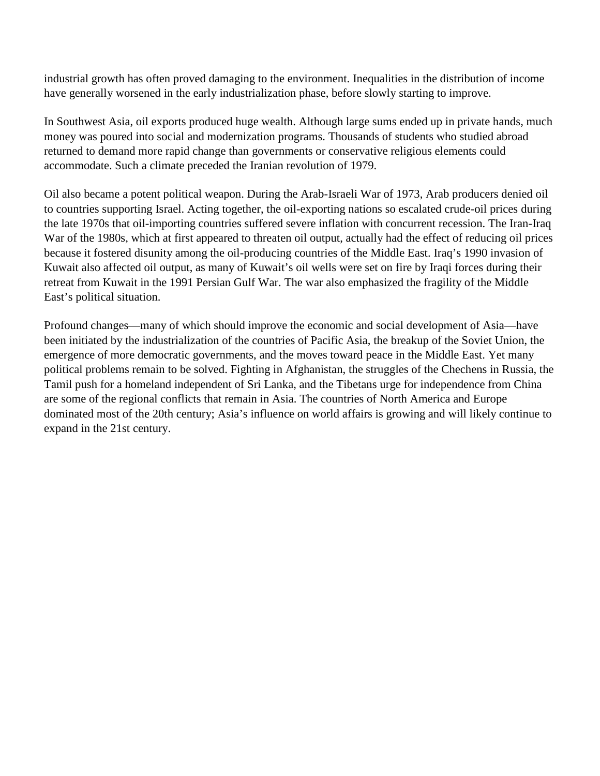industrial growth has often proved damaging to the environment. Inequalities in the distribution of income have generally worsened in the early industrialization phase, before slowly starting to improve.

In Southwest Asia, oil exports produced huge wealth. Although large sums ended up in private hands, much money was poured into social and modernization programs. Thousands of students who studied abroad returned to demand more rapid change than governments or conservative religious elements could accommodate. Such a climate preceded the Iranian revolution of 1979.

Oil also became a potent political weapon. During the Arab-Israeli War of 1973, Arab producers denied oil to countries supporting Israel. Acting together, the oil-exporting nations so escalated crude-oil prices during the late 1970s that oil-importing countries suffered severe inflation with concurrent recession. The Iran-Iraq War of the 1980s, which at first appeared to threaten oil output, actually had the effect of reducing oil prices because it fostered disunity among the oil-producing countries of the Middle East. Iraq's 1990 invasion of Kuwait also affected oil output, as many of Kuwait's oil wells were set on fire by Iraqi forces during their retreat from Kuwait in the 1991 Persian Gulf War. The war also emphasized the fragility of the Middle East's political situation.

Profound changes—many of which should improve the economic and social development of Asia—have been initiated by the industrialization of the countries of Pacific Asia, the breakup of the Soviet Union, the emergence of more democratic governments, and the moves toward peace in the Middle East. Yet many political problems remain to be solved. Fighting in Afghanistan, the struggles of the Chechens in Russia, the Tamil push for a homeland independent of Sri Lanka, and the Tibetans urge for independence from China are some of the regional conflicts that remain in Asia. The countries of North America and Europe dominated most of the 20th century; Asia's influence on world affairs is growing and will likely continue to expand in the 21st century.